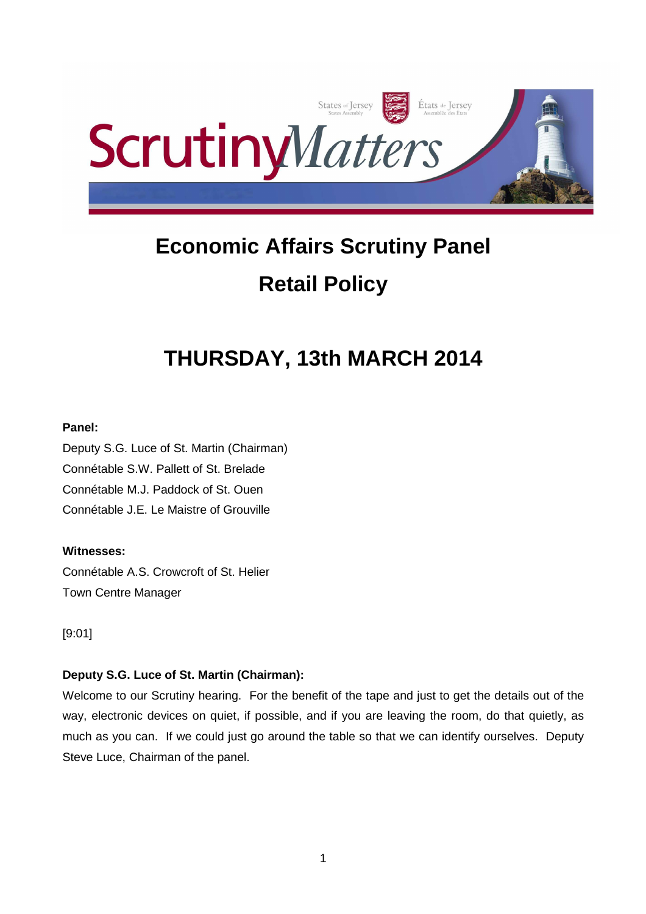

# **Economic Affairs Scrutiny Panel Retail Policy**

# **THURSDAY, 13th MARCH 2014**

# **Panel:**

Deputy S.G. Luce of St. Martin (Chairman) Connétable S.W. Pallett of St. Brelade Connétable M.J. Paddock of St. Ouen Connétable J.E. Le Maistre of Grouville

# **Witnesses:**

Connétable A.S. Crowcroft of St. Helier Town Centre Manager

# [9:01]

# **Deputy S.G. Luce of St. Martin (Chairman):**

Welcome to our Scrutiny hearing. For the benefit of the tape and just to get the details out of the way, electronic devices on quiet, if possible, and if you are leaving the room, do that quietly, as much as you can. If we could just go around the table so that we can identify ourselves. Deputy Steve Luce, Chairman of the panel.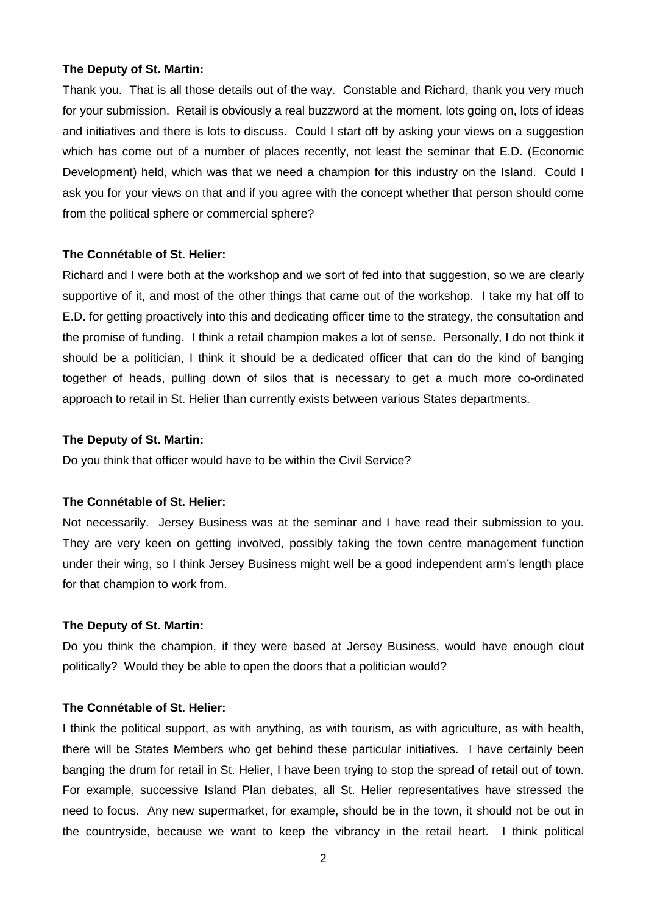## **The Deputy of St. Martin:**

Thank you. That is all those details out of the way. Constable and Richard, thank you very much for your submission. Retail is obviously a real buzzword at the moment, lots going on, lots of ideas and initiatives and there is lots to discuss. Could I start off by asking your views on a suggestion which has come out of a number of places recently, not least the seminar that E.D. (Economic Development) held, which was that we need a champion for this industry on the Island. Could I ask you for your views on that and if you agree with the concept whether that person should come from the political sphere or commercial sphere?

## **The Connétable of St. Helier:**

Richard and I were both at the workshop and we sort of fed into that suggestion, so we are clearly supportive of it, and most of the other things that came out of the workshop. I take my hat off to E.D. for getting proactively into this and dedicating officer time to the strategy, the consultation and the promise of funding. I think a retail champion makes a lot of sense. Personally, I do not think it should be a politician, I think it should be a dedicated officer that can do the kind of banging together of heads, pulling down of silos that is necessary to get a much more co-ordinated approach to retail in St. Helier than currently exists between various States departments.

## **The Deputy of St. Martin:**

Do you think that officer would have to be within the Civil Service?

## **The Connétable of St. Helier:**

Not necessarily. Jersey Business was at the seminar and I have read their submission to you. They are very keen on getting involved, possibly taking the town centre management function under their wing, so I think Jersey Business might well be a good independent arm's length place for that champion to work from.

## **The Deputy of St. Martin:**

Do you think the champion, if they were based at Jersey Business, would have enough clout politically? Would they be able to open the doors that a politician would?

# **The Connétable of St. Helier:**

I think the political support, as with anything, as with tourism, as with agriculture, as with health, there will be States Members who get behind these particular initiatives. I have certainly been banging the drum for retail in St. Helier, I have been trying to stop the spread of retail out of town. For example, successive Island Plan debates, all St. Helier representatives have stressed the need to focus. Any new supermarket, for example, should be in the town, it should not be out in the countryside, because we want to keep the vibrancy in the retail heart. I think political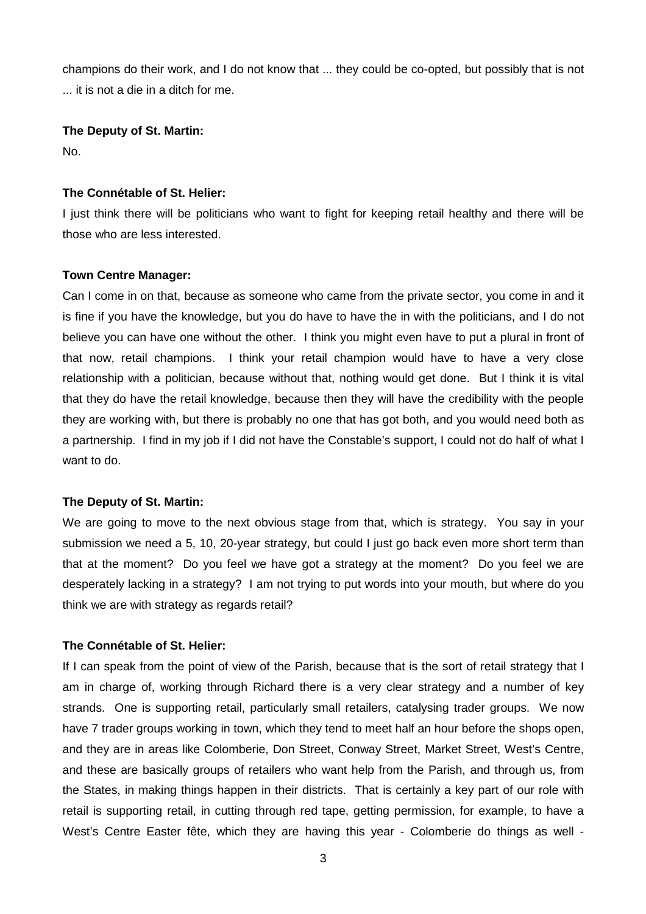champions do their work, and I do not know that ... they could be co-opted, but possibly that is not ... it is not a die in a ditch for me.

**The Deputy of St. Martin:**

No.

# **The Connétable of St. Helier:**

I just think there will be politicians who want to fight for keeping retail healthy and there will be those who are less interested.

# **Town Centre Manager:**

Can I come in on that, because as someone who came from the private sector, you come in and it is fine if you have the knowledge, but you do have to have the in with the politicians, and I do not believe you can have one without the other. I think you might even have to put a plural in front of that now, retail champions. I think your retail champion would have to have a very close relationship with a politician, because without that, nothing would get done. But I think it is vital that they do have the retail knowledge, because then they will have the credibility with the people they are working with, but there is probably no one that has got both, and you would need both as a partnership. I find in my job if I did not have the Constable's support, I could not do half of what I want to do.

# **The Deputy of St. Martin:**

We are going to move to the next obvious stage from that, which is strategy. You say in your submission we need a 5, 10, 20-year strategy, but could I just go back even more short term than that at the moment? Do you feel we have got a strategy at the moment? Do you feel we are desperately lacking in a strategy? I am not trying to put words into your mouth, but where do you think we are with strategy as regards retail?

# **The Connétable of St. Helier:**

If I can speak from the point of view of the Parish, because that is the sort of retail strategy that I am in charge of, working through Richard there is a very clear strategy and a number of key strands. One is supporting retail, particularly small retailers, catalysing trader groups. We now have 7 trader groups working in town, which they tend to meet half an hour before the shops open, and they are in areas like Colomberie, Don Street, Conway Street, Market Street, West's Centre, and these are basically groups of retailers who want help from the Parish, and through us, from the States, in making things happen in their districts. That is certainly a key part of our role with retail is supporting retail, in cutting through red tape, getting permission, for example, to have a West's Centre Easter fête, which they are having this year - Colomberie do things as well -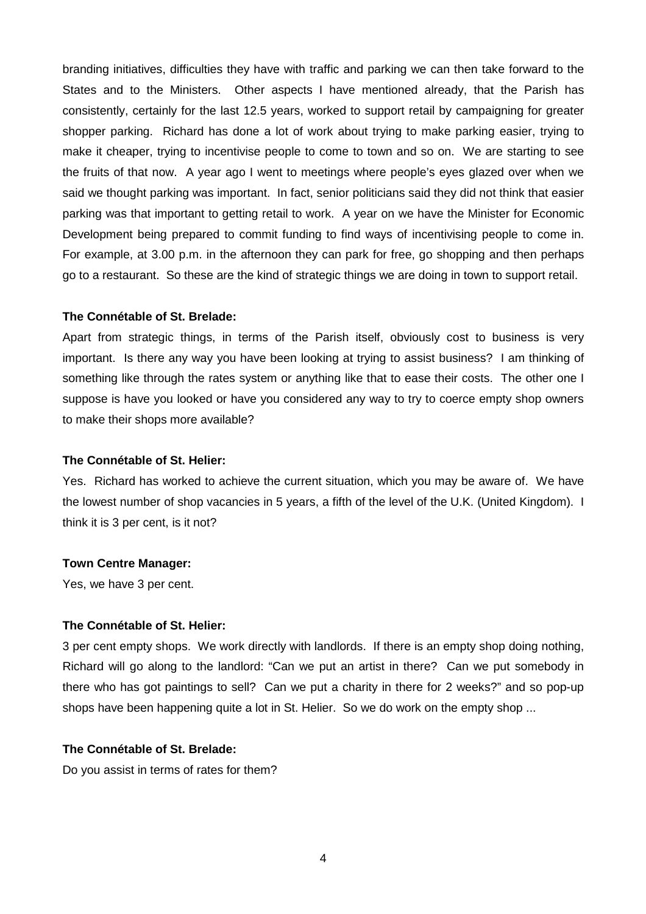branding initiatives, difficulties they have with traffic and parking we can then take forward to the States and to the Ministers. Other aspects I have mentioned already, that the Parish has consistently, certainly for the last 12.5 years, worked to support retail by campaigning for greater shopper parking. Richard has done a lot of work about trying to make parking easier, trying to make it cheaper, trying to incentivise people to come to town and so on. We are starting to see the fruits of that now. A year ago I went to meetings where people's eyes glazed over when we said we thought parking was important. In fact, senior politicians said they did not think that easier parking was that important to getting retail to work. A year on we have the Minister for Economic Development being prepared to commit funding to find ways of incentivising people to come in. For example, at 3.00 p.m. in the afternoon they can park for free, go shopping and then perhaps go to a restaurant. So these are the kind of strategic things we are doing in town to support retail.

## **The Connétable of St. Brelade:**

Apart from strategic things, in terms of the Parish itself, obviously cost to business is very important. Is there any way you have been looking at trying to assist business? I am thinking of something like through the rates system or anything like that to ease their costs. The other one I suppose is have you looked or have you considered any way to try to coerce empty shop owners to make their shops more available?

#### **The Connétable of St. Helier:**

Yes. Richard has worked to achieve the current situation, which you may be aware of. We have the lowest number of shop vacancies in 5 years, a fifth of the level of the U.K. (United Kingdom). I think it is 3 per cent, is it not?

## **Town Centre Manager:**

Yes, we have 3 per cent.

## **The Connétable of St. Helier:**

3 per cent empty shops. We work directly with landlords. If there is an empty shop doing nothing, Richard will go along to the landlord: "Can we put an artist in there? Can we put somebody in there who has got paintings to sell? Can we put a charity in there for 2 weeks?" and so pop-up shops have been happening quite a lot in St. Helier. So we do work on the empty shop ...

## **The Connétable of St. Brelade:**

Do you assist in terms of rates for them?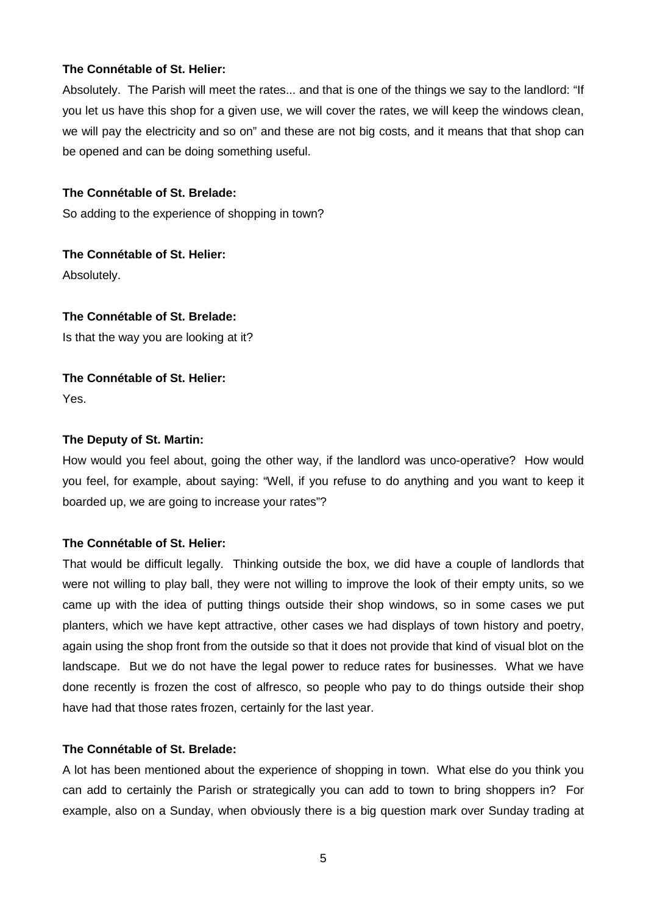Absolutely. The Parish will meet the rates... and that is one of the things we say to the landlord: "If you let us have this shop for a given use, we will cover the rates, we will keep the windows clean, we will pay the electricity and so on" and these are not big costs, and it means that that shop can be opened and can be doing something useful.

## **The Connétable of St. Brelade:**

So adding to the experience of shopping in town?

**The Connétable of St. Helier:** Absolutely.

## **The Connétable of St. Brelade:**

Is that the way you are looking at it?

**The Connétable of St. Helier:** Yes.

## **The Deputy of St. Martin:**

How would you feel about, going the other way, if the landlord was unco-operative? How would you feel, for example, about saying: "Well, if you refuse to do anything and you want to keep it boarded up, we are going to increase your rates"?

# **The Connétable of St. Helier:**

That would be difficult legally. Thinking outside the box, we did have a couple of landlords that were not willing to play ball, they were not willing to improve the look of their empty units, so we came up with the idea of putting things outside their shop windows, so in some cases we put planters, which we have kept attractive, other cases we had displays of town history and poetry, again using the shop front from the outside so that it does not provide that kind of visual blot on the landscape. But we do not have the legal power to reduce rates for businesses. What we have done recently is frozen the cost of alfresco, so people who pay to do things outside their shop have had that those rates frozen, certainly for the last year.

## **The Connétable of St. Brelade:**

A lot has been mentioned about the experience of shopping in town. What else do you think you can add to certainly the Parish or strategically you can add to town to bring shoppers in? For example, also on a Sunday, when obviously there is a big question mark over Sunday trading at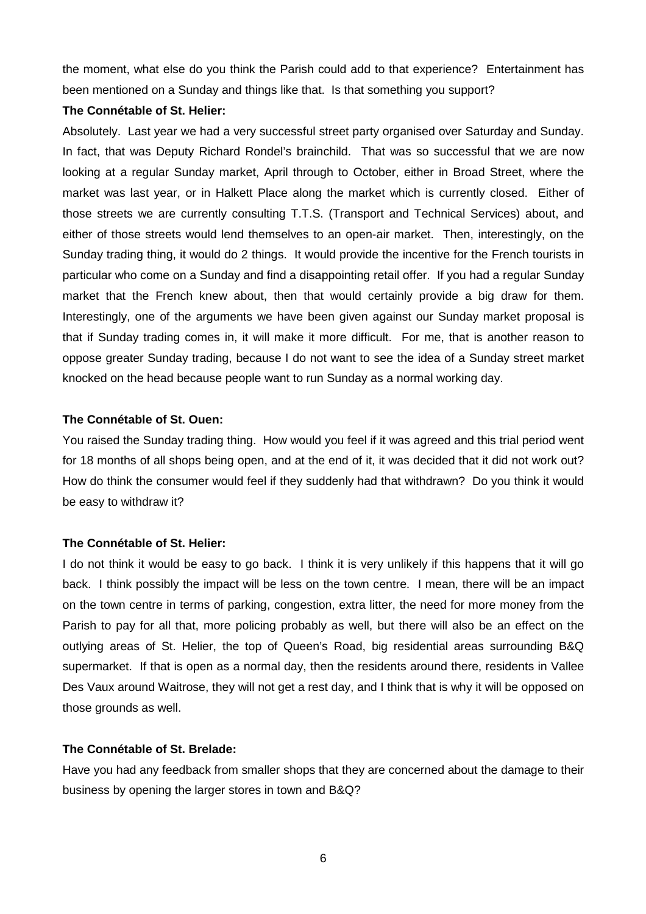the moment, what else do you think the Parish could add to that experience? Entertainment has been mentioned on a Sunday and things like that. Is that something you support?

# **The Connétable of St. Helier:**

Absolutely. Last year we had a very successful street party organised over Saturday and Sunday. In fact, that was Deputy Richard Rondel's brainchild. That was so successful that we are now looking at a regular Sunday market, April through to October, either in Broad Street, where the market was last year, or in Halkett Place along the market which is currently closed. Either of those streets we are currently consulting T.T.S. (Transport and Technical Services) about, and either of those streets would lend themselves to an open-air market. Then, interestingly, on the Sunday trading thing, it would do 2 things. It would provide the incentive for the French tourists in particular who come on a Sunday and find a disappointing retail offer. If you had a regular Sunday market that the French knew about, then that would certainly provide a big draw for them. Interestingly, one of the arguments we have been given against our Sunday market proposal is that if Sunday trading comes in, it will make it more difficult. For me, that is another reason to oppose greater Sunday trading, because I do not want to see the idea of a Sunday street market knocked on the head because people want to run Sunday as a normal working day.

# **The Connétable of St. Ouen:**

You raised the Sunday trading thing. How would you feel if it was agreed and this trial period went for 18 months of all shops being open, and at the end of it, it was decided that it did not work out? How do think the consumer would feel if they suddenly had that withdrawn? Do you think it would be easy to withdraw it?

# **The Connétable of St. Helier:**

I do not think it would be easy to go back. I think it is very unlikely if this happens that it will go back. I think possibly the impact will be less on the town centre. I mean, there will be an impact on the town centre in terms of parking, congestion, extra litter, the need for more money from the Parish to pay for all that, more policing probably as well, but there will also be an effect on the outlying areas of St. Helier, the top of Queen's Road, big residential areas surrounding B&Q supermarket. If that is open as a normal day, then the residents around there, residents in Vallee Des Vaux around Waitrose, they will not get a rest day, and I think that is why it will be opposed on those grounds as well.

# **The Connétable of St. Brelade:**

Have you had any feedback from smaller shops that they are concerned about the damage to their business by opening the larger stores in town and B&Q?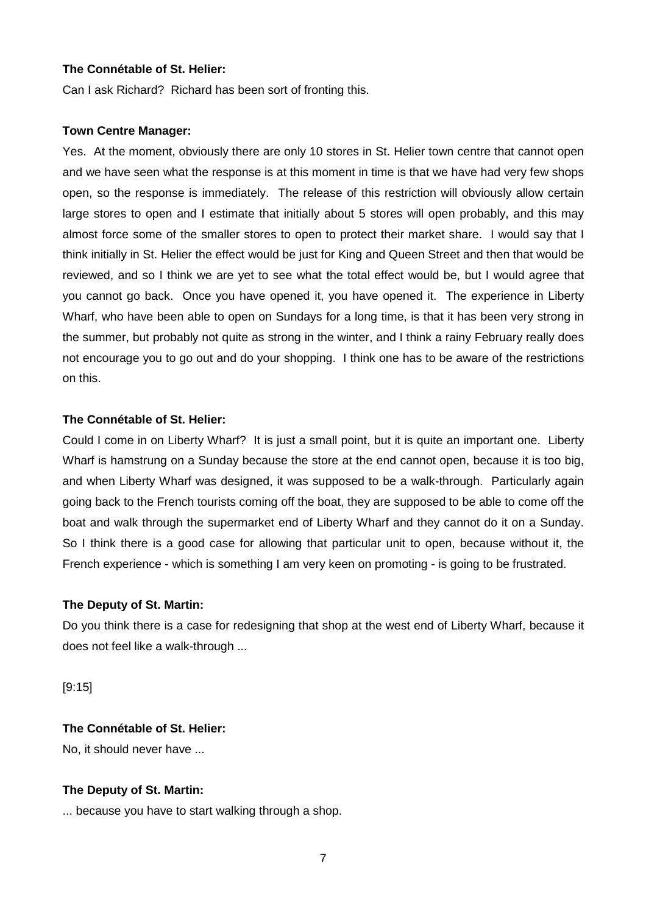Can I ask Richard? Richard has been sort of fronting this.

## **Town Centre Manager:**

Yes. At the moment, obviously there are only 10 stores in St. Helier town centre that cannot open and we have seen what the response is at this moment in time is that we have had very few shops open, so the response is immediately. The release of this restriction will obviously allow certain large stores to open and I estimate that initially about 5 stores will open probably, and this may almost force some of the smaller stores to open to protect their market share. I would say that I think initially in St. Helier the effect would be just for King and Queen Street and then that would be reviewed, and so I think we are yet to see what the total effect would be, but I would agree that you cannot go back. Once you have opened it, you have opened it. The experience in Liberty Wharf, who have been able to open on Sundays for a long time, is that it has been very strong in the summer, but probably not quite as strong in the winter, and I think a rainy February really does not encourage you to go out and do your shopping. I think one has to be aware of the restrictions on this.

## **The Connétable of St. Helier:**

Could I come in on Liberty Wharf? It is just a small point, but it is quite an important one. Liberty Wharf is hamstrung on a Sunday because the store at the end cannot open, because it is too big, and when Liberty Wharf was designed, it was supposed to be a walk-through. Particularly again going back to the French tourists coming off the boat, they are supposed to be able to come off the boat and walk through the supermarket end of Liberty Wharf and they cannot do it on a Sunday. So I think there is a good case for allowing that particular unit to open, because without it, the French experience - which is something I am very keen on promoting - is going to be frustrated.

## **The Deputy of St. Martin:**

Do you think there is a case for redesigning that shop at the west end of Liberty Wharf, because it does not feel like a walk-through ...

[9:15]

## **The Connétable of St. Helier:**

No, it should never have ...

## **The Deputy of St. Martin:**

... because you have to start walking through a shop.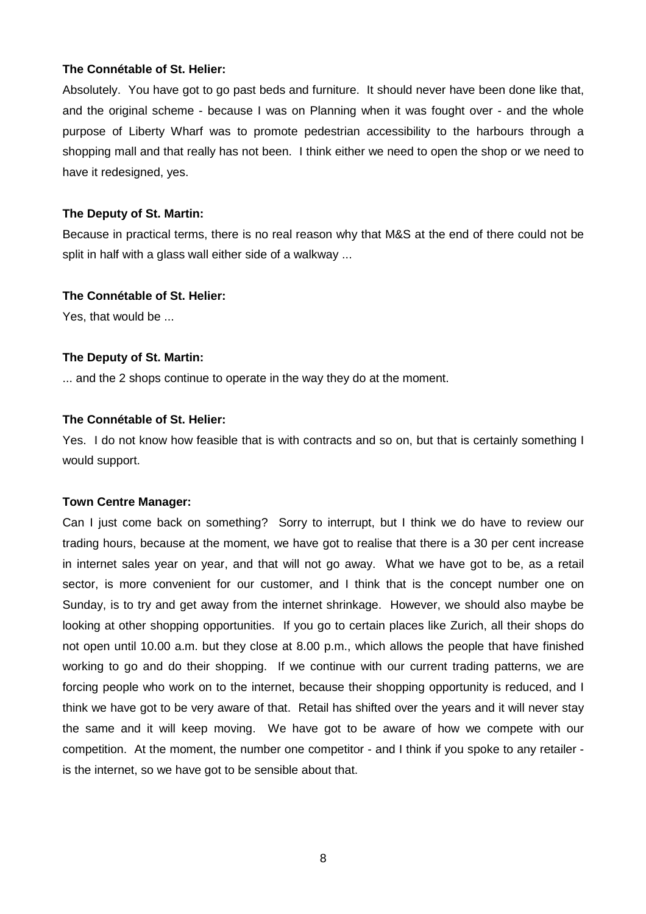Absolutely. You have got to go past beds and furniture. It should never have been done like that, and the original scheme - because I was on Planning when it was fought over - and the whole purpose of Liberty Wharf was to promote pedestrian accessibility to the harbours through a shopping mall and that really has not been. I think either we need to open the shop or we need to have it redesigned, yes.

## **The Deputy of St. Martin:**

Because in practical terms, there is no real reason why that M&S at the end of there could not be split in half with a glass wall either side of a walkway ...

## **The Connétable of St. Helier:**

Yes, that would be ...

## **The Deputy of St. Martin:**

... and the 2 shops continue to operate in the way they do at the moment.

## **The Connétable of St. Helier:**

Yes. I do not know how feasible that is with contracts and so on, but that is certainly something I would support.

#### **Town Centre Manager:**

Can I just come back on something? Sorry to interrupt, but I think we do have to review our trading hours, because at the moment, we have got to realise that there is a 30 per cent increase in internet sales year on year, and that will not go away. What we have got to be, as a retail sector, is more convenient for our customer, and I think that is the concept number one on Sunday, is to try and get away from the internet shrinkage. However, we should also maybe be looking at other shopping opportunities. If you go to certain places like Zurich, all their shops do not open until 10.00 a.m. but they close at 8.00 p.m., which allows the people that have finished working to go and do their shopping. If we continue with our current trading patterns, we are forcing people who work on to the internet, because their shopping opportunity is reduced, and I think we have got to be very aware of that. Retail has shifted over the years and it will never stay the same and it will keep moving. We have got to be aware of how we compete with our competition. At the moment, the number one competitor - and I think if you spoke to any retailer is the internet, so we have got to be sensible about that.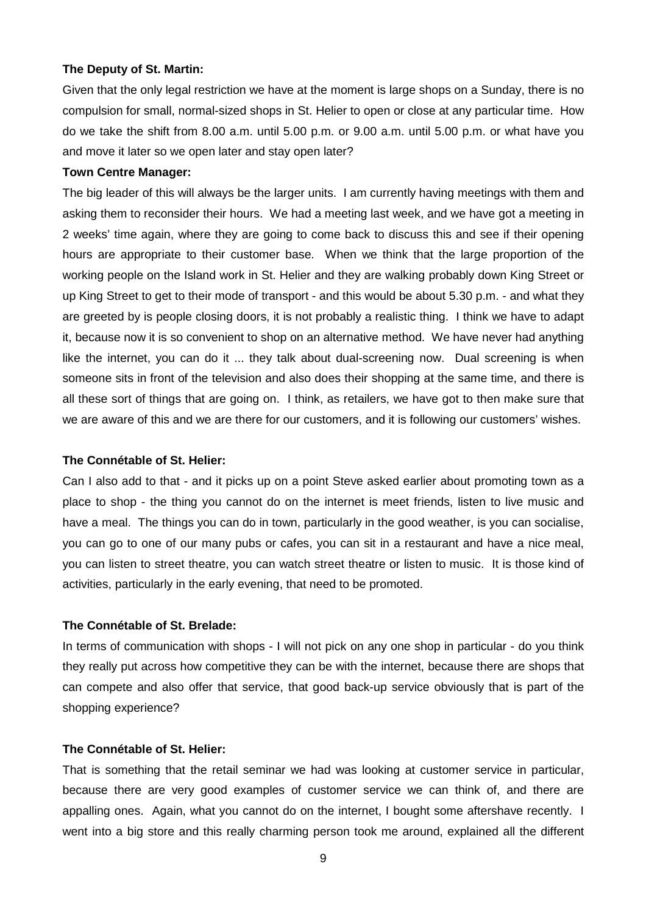## **The Deputy of St. Martin:**

Given that the only legal restriction we have at the moment is large shops on a Sunday, there is no compulsion for small, normal-sized shops in St. Helier to open or close at any particular time. How do we take the shift from 8.00 a.m. until 5.00 p.m. or 9.00 a.m. until 5.00 p.m. or what have you and move it later so we open later and stay open later?

## **Town Centre Manager:**

The big leader of this will always be the larger units. I am currently having meetings with them and asking them to reconsider their hours. We had a meeting last week, and we have got a meeting in 2 weeks' time again, where they are going to come back to discuss this and see if their opening hours are appropriate to their customer base. When we think that the large proportion of the working people on the Island work in St. Helier and they are walking probably down King Street or up King Street to get to their mode of transport - and this would be about 5.30 p.m. - and what they are greeted by is people closing doors, it is not probably a realistic thing. I think we have to adapt it, because now it is so convenient to shop on an alternative method. We have never had anything like the internet, you can do it ... they talk about dual-screening now. Dual screening is when someone sits in front of the television and also does their shopping at the same time, and there is all these sort of things that are going on. I think, as retailers, we have got to then make sure that we are aware of this and we are there for our customers, and it is following our customers' wishes.

## **The Connétable of St. Helier:**

Can I also add to that - and it picks up on a point Steve asked earlier about promoting town as a place to shop - the thing you cannot do on the internet is meet friends, listen to live music and have a meal. The things you can do in town, particularly in the good weather, is you can socialise, you can go to one of our many pubs or cafes, you can sit in a restaurant and have a nice meal, you can listen to street theatre, you can watch street theatre or listen to music. It is those kind of activities, particularly in the early evening, that need to be promoted.

## **The Connétable of St. Brelade:**

In terms of communication with shops - I will not pick on any one shop in particular - do you think they really put across how competitive they can be with the internet, because there are shops that can compete and also offer that service, that good back-up service obviously that is part of the shopping experience?

#### **The Connétable of St. Helier:**

That is something that the retail seminar we had was looking at customer service in particular, because there are very good examples of customer service we can think of, and there are appalling ones. Again, what you cannot do on the internet, I bought some aftershave recently. I went into a big store and this really charming person took me around, explained all the different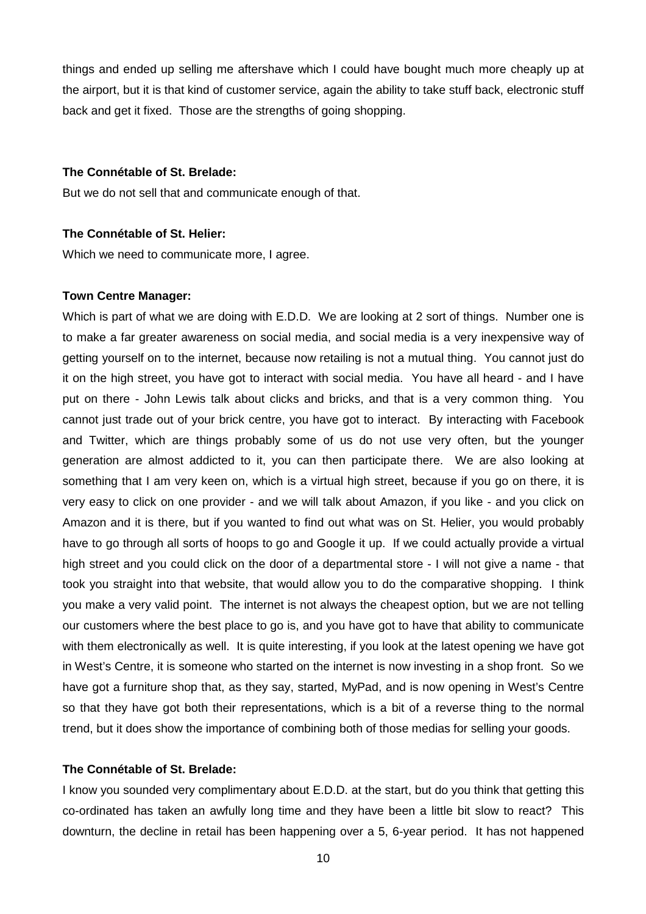things and ended up selling me aftershave which I could have bought much more cheaply up at the airport, but it is that kind of customer service, again the ability to take stuff back, electronic stuff back and get it fixed. Those are the strengths of going shopping.

## **The Connétable of St. Brelade:**

But we do not sell that and communicate enough of that.

# **The Connétable of St. Helier:**

Which we need to communicate more, I agree.

## **Town Centre Manager:**

Which is part of what we are doing with E.D.D. We are looking at 2 sort of things. Number one is to make a far greater awareness on social media, and social media is a very inexpensive way of getting yourself on to the internet, because now retailing is not a mutual thing. You cannot just do it on the high street, you have got to interact with social media. You have all heard - and I have put on there - John Lewis talk about clicks and bricks, and that is a very common thing. You cannot just trade out of your brick centre, you have got to interact. By interacting with Facebook and Twitter, which are things probably some of us do not use very often, but the younger generation are almost addicted to it, you can then participate there. We are also looking at something that I am very keen on, which is a virtual high street, because if you go on there, it is very easy to click on one provider - and we will talk about Amazon, if you like - and you click on Amazon and it is there, but if you wanted to find out what was on St. Helier, you would probably have to go through all sorts of hoops to go and Google it up. If we could actually provide a virtual high street and you could click on the door of a departmental store - I will not give a name - that took you straight into that website, that would allow you to do the comparative shopping. I think you make a very valid point. The internet is not always the cheapest option, but we are not telling our customers where the best place to go is, and you have got to have that ability to communicate with them electronically as well. It is quite interesting, if you look at the latest opening we have got in West's Centre, it is someone who started on the internet is now investing in a shop front. So we have got a furniture shop that, as they say, started, MyPad, and is now opening in West's Centre so that they have got both their representations, which is a bit of a reverse thing to the normal trend, but it does show the importance of combining both of those medias for selling your goods.

## **The Connétable of St. Brelade:**

I know you sounded very complimentary about E.D.D. at the start, but do you think that getting this co-ordinated has taken an awfully long time and they have been a little bit slow to react? This downturn, the decline in retail has been happening over a 5, 6-year period. It has not happened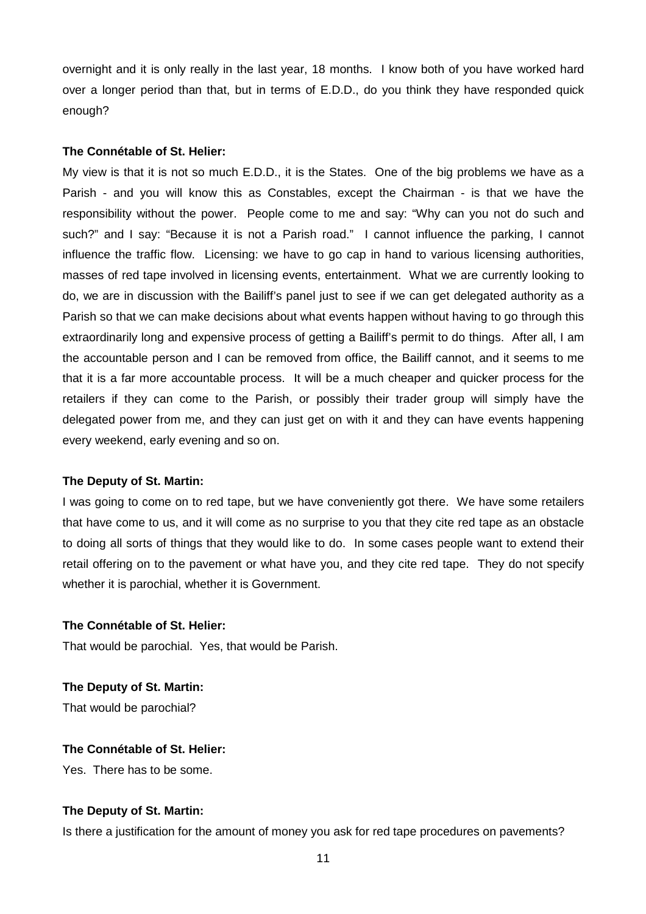overnight and it is only really in the last year, 18 months. I know both of you have worked hard over a longer period than that, but in terms of E.D.D., do you think they have responded quick enough?

## **The Connétable of St. Helier:**

My view is that it is not so much E.D.D., it is the States. One of the big problems we have as a Parish - and you will know this as Constables, except the Chairman - is that we have the responsibility without the power. People come to me and say: "Why can you not do such and such?" and I say: "Because it is not a Parish road." I cannot influence the parking, I cannot influence the traffic flow. Licensing: we have to go cap in hand to various licensing authorities, masses of red tape involved in licensing events, entertainment. What we are currently looking to do, we are in discussion with the Bailiff's panel just to see if we can get delegated authority as a Parish so that we can make decisions about what events happen without having to go through this extraordinarily long and expensive process of getting a Bailiff's permit to do things. After all, I am the accountable person and I can be removed from office, the Bailiff cannot, and it seems to me that it is a far more accountable process. It will be a much cheaper and quicker process for the retailers if they can come to the Parish, or possibly their trader group will simply have the delegated power from me, and they can just get on with it and they can have events happening every weekend, early evening and so on.

## **The Deputy of St. Martin:**

I was going to come on to red tape, but we have conveniently got there. We have some retailers that have come to us, and it will come as no surprise to you that they cite red tape as an obstacle to doing all sorts of things that they would like to do. In some cases people want to extend their retail offering on to the pavement or what have you, and they cite red tape. They do not specify whether it is parochial, whether it is Government.

## **The Connétable of St. Helier:**

That would be parochial. Yes, that would be Parish.

**The Deputy of St. Martin:** That would be parochial?

## **The Connétable of St. Helier:**

Yes. There has to be some.

#### **The Deputy of St. Martin:**

Is there a justification for the amount of money you ask for red tape procedures on pavements?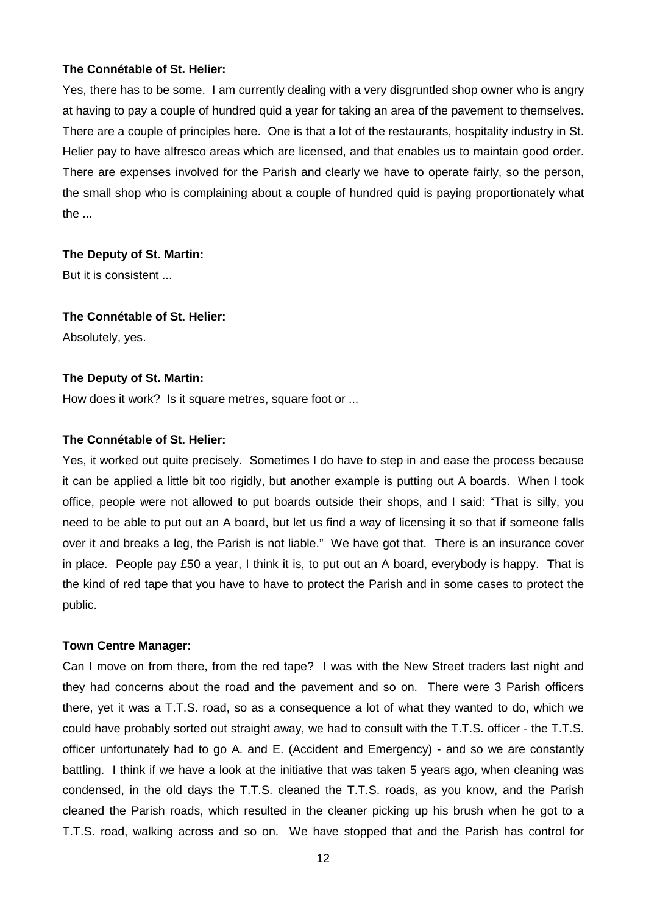Yes, there has to be some. I am currently dealing with a very disgruntled shop owner who is angry at having to pay a couple of hundred quid a year for taking an area of the pavement to themselves. There are a couple of principles here. One is that a lot of the restaurants, hospitality industry in St. Helier pay to have alfresco areas which are licensed, and that enables us to maintain good order. There are expenses involved for the Parish and clearly we have to operate fairly, so the person, the small shop who is complaining about a couple of hundred quid is paying proportionately what the ...

## **The Deputy of St. Martin:**

But it is consistent ...

#### **The Connétable of St. Helier:**

Absolutely, yes.

## **The Deputy of St. Martin:**

How does it work? Is it square metres, square foot or ...

## **The Connétable of St. Helier:**

Yes, it worked out quite precisely. Sometimes I do have to step in and ease the process because it can be applied a little bit too rigidly, but another example is putting out A boards. When I took office, people were not allowed to put boards outside their shops, and I said: "That is silly, you need to be able to put out an A board, but let us find a way of licensing it so that if someone falls over it and breaks a leg, the Parish is not liable." We have got that. There is an insurance cover in place. People pay £50 a year, I think it is, to put out an A board, everybody is happy. That is the kind of red tape that you have to have to protect the Parish and in some cases to protect the public.

## **Town Centre Manager:**

Can I move on from there, from the red tape? I was with the New Street traders last night and they had concerns about the road and the pavement and so on. There were 3 Parish officers there, yet it was a T.T.S. road, so as a consequence a lot of what they wanted to do, which we could have probably sorted out straight away, we had to consult with the T.T.S. officer - the T.T.S. officer unfortunately had to go A. and E. (Accident and Emergency) - and so we are constantly battling. I think if we have a look at the initiative that was taken 5 years ago, when cleaning was condensed, in the old days the T.T.S. cleaned the T.T.S. roads, as you know, and the Parish cleaned the Parish roads, which resulted in the cleaner picking up his brush when he got to a T.T.S. road, walking across and so on. We have stopped that and the Parish has control for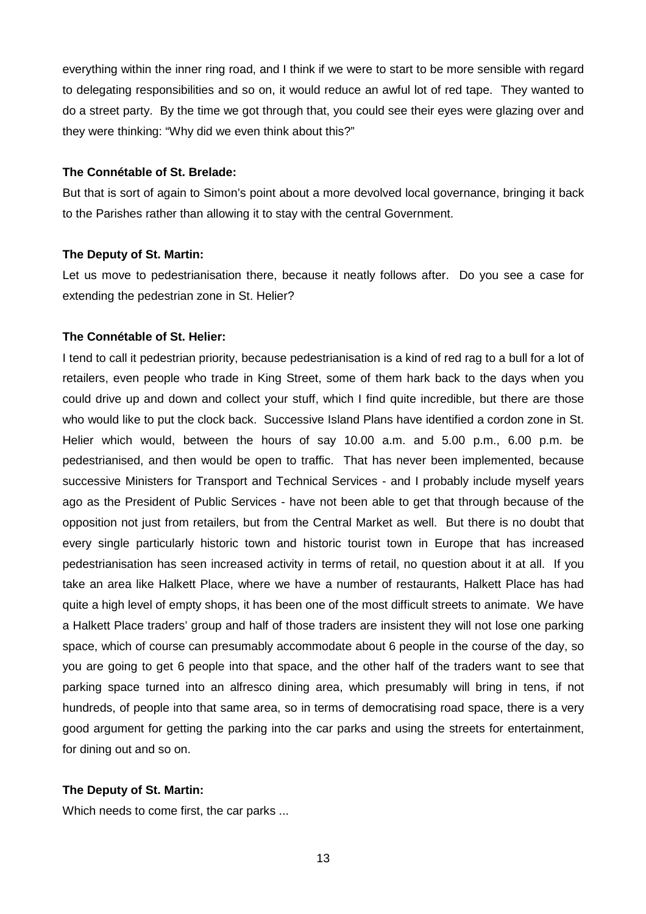everything within the inner ring road, and I think if we were to start to be more sensible with regard to delegating responsibilities and so on, it would reduce an awful lot of red tape. They wanted to do a street party. By the time we got through that, you could see their eyes were glazing over and they were thinking: "Why did we even think about this?"

## **The Connétable of St. Brelade:**

But that is sort of again to Simon's point about a more devolved local governance, bringing it back to the Parishes rather than allowing it to stay with the central Government.

## **The Deputy of St. Martin:**

Let us move to pedestrianisation there, because it neatly follows after. Do you see a case for extending the pedestrian zone in St. Helier?

## **The Connétable of St. Helier:**

I tend to call it pedestrian priority, because pedestrianisation is a kind of red rag to a bull for a lot of retailers, even people who trade in King Street, some of them hark back to the days when you could drive up and down and collect your stuff, which I find quite incredible, but there are those who would like to put the clock back. Successive Island Plans have identified a cordon zone in St. Helier which would, between the hours of say 10.00 a.m. and 5.00 p.m., 6.00 p.m. be pedestrianised, and then would be open to traffic. That has never been implemented, because successive Ministers for Transport and Technical Services - and I probably include myself years ago as the President of Public Services - have not been able to get that through because of the opposition not just from retailers, but from the Central Market as well. But there is no doubt that every single particularly historic town and historic tourist town in Europe that has increased pedestrianisation has seen increased activity in terms of retail, no question about it at all. If you take an area like Halkett Place, where we have a number of restaurants, Halkett Place has had quite a high level of empty shops, it has been one of the most difficult streets to animate. We have a Halkett Place traders' group and half of those traders are insistent they will not lose one parking space, which of course can presumably accommodate about 6 people in the course of the day, so you are going to get 6 people into that space, and the other half of the traders want to see that parking space turned into an alfresco dining area, which presumably will bring in tens, if not hundreds, of people into that same area, so in terms of democratising road space, there is a very good argument for getting the parking into the car parks and using the streets for entertainment, for dining out and so on.

## **The Deputy of St. Martin:**

Which needs to come first, the car parks ...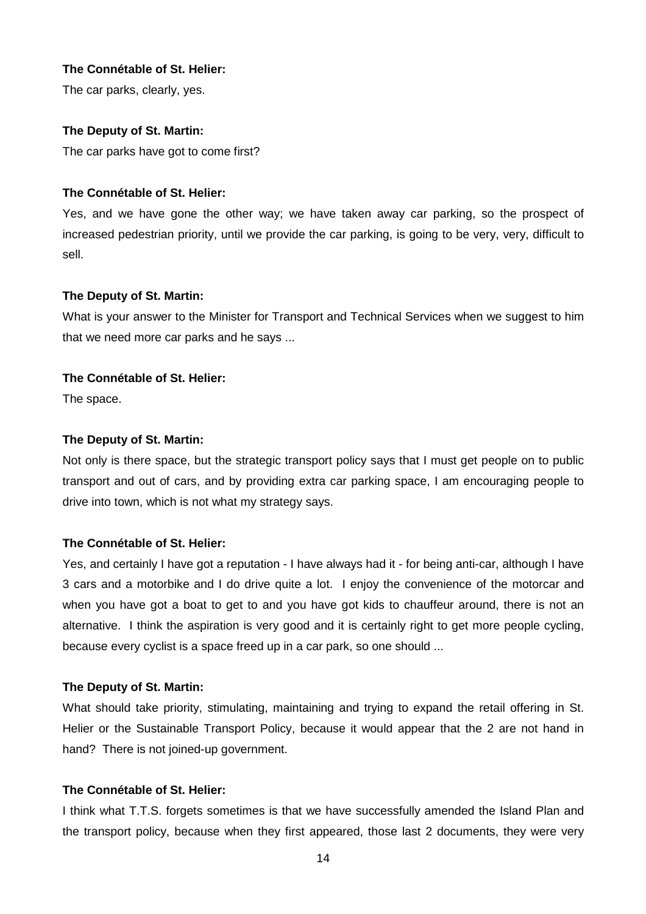The car parks, clearly, yes.

# **The Deputy of St. Martin:**

The car parks have got to come first?

# **The Connétable of St. Helier:**

Yes, and we have gone the other way; we have taken away car parking, so the prospect of increased pedestrian priority, until we provide the car parking, is going to be very, very, difficult to sell.

# **The Deputy of St. Martin:**

What is your answer to the Minister for Transport and Technical Services when we suggest to him that we need more car parks and he says ...

# **The Connétable of St. Helier:**

The space.

# **The Deputy of St. Martin:**

Not only is there space, but the strategic transport policy says that I must get people on to public transport and out of cars, and by providing extra car parking space, I am encouraging people to drive into town, which is not what my strategy says.

# **The Connétable of St. Helier:**

Yes, and certainly I have got a reputation - I have always had it - for being anti-car, although I have 3 cars and a motorbike and I do drive quite a lot. I enjoy the convenience of the motorcar and when you have got a boat to get to and you have got kids to chauffeur around, there is not an alternative. I think the aspiration is very good and it is certainly right to get more people cycling, because every cyclist is a space freed up in a car park, so one should ...

# **The Deputy of St. Martin:**

What should take priority, stimulating, maintaining and trying to expand the retail offering in St. Helier or the Sustainable Transport Policy, because it would appear that the 2 are not hand in hand? There is not joined-up government.

# **The Connétable of St. Helier:**

I think what T.T.S. forgets sometimes is that we have successfully amended the Island Plan and the transport policy, because when they first appeared, those last 2 documents, they were very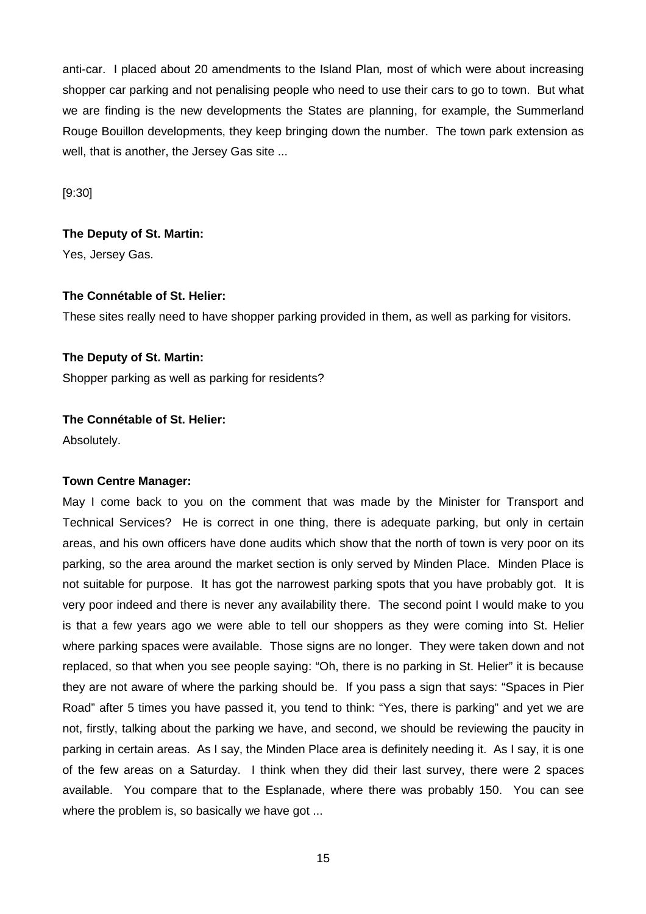anti-car. I placed about 20 amendments to the Island Plan, most of which were about increasing shopper car parking and not penalising people who need to use their cars to go to town. But what we are finding is the new developments the States are planning, for example, the Summerland Rouge Bouillon developments, they keep bringing down the number. The town park extension as well, that is another, the Jersey Gas site ...

[9:30]

# **The Deputy of St. Martin:** Yes, Jersey Gas.

## **The Connétable of St. Helier:**

These sites really need to have shopper parking provided in them, as well as parking for visitors.

## **The Deputy of St. Martin:**

Shopper parking as well as parking for residents?

## **The Connétable of St. Helier:**

Absolutely.

## **Town Centre Manager:**

May I come back to you on the comment that was made by the Minister for Transport and Technical Services? He is correct in one thing, there is adequate parking, but only in certain areas, and his own officers have done audits which show that the north of town is very poor on its parking, so the area around the market section is only served by Minden Place. Minden Place is not suitable for purpose. It has got the narrowest parking spots that you have probably got. It is very poor indeed and there is never any availability there. The second point I would make to you is that a few years ago we were able to tell our shoppers as they were coming into St. Helier where parking spaces were available. Those signs are no longer. They were taken down and not replaced, so that when you see people saying: "Oh, there is no parking in St. Helier" it is because they are not aware of where the parking should be. If you pass a sign that says: "Spaces in Pier Road" after 5 times you have passed it, you tend to think: "Yes, there is parking" and yet we are not, firstly, talking about the parking we have, and second, we should be reviewing the paucity in parking in certain areas. As I say, the Minden Place area is definitely needing it. As I say, it is one of the few areas on a Saturday. I think when they did their last survey, there were 2 spaces available. You compare that to the Esplanade, where there was probably 150. You can see where the problem is, so basically we have got ...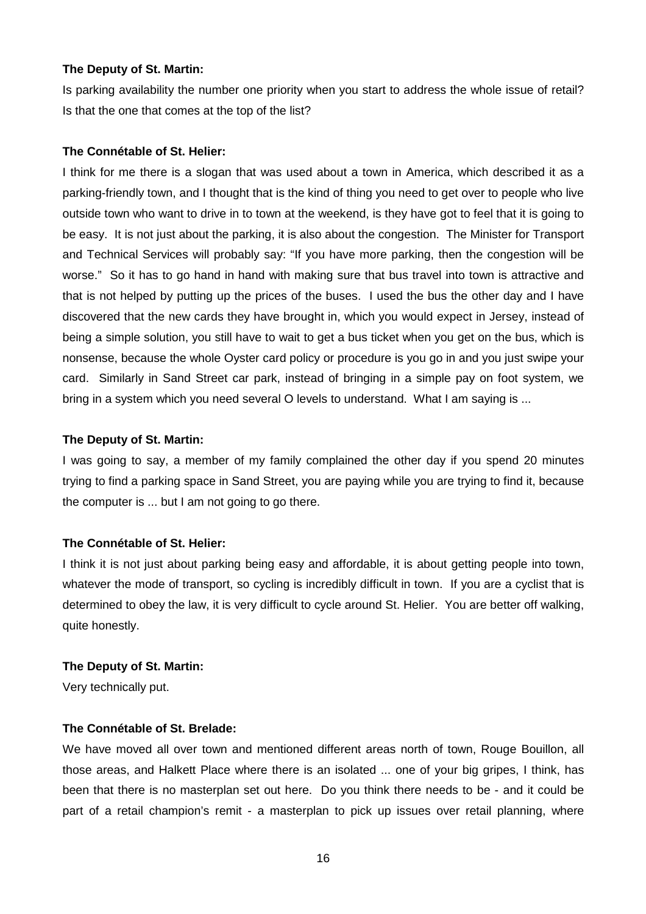## **The Deputy of St. Martin:**

Is parking availability the number one priority when you start to address the whole issue of retail? Is that the one that comes at the top of the list?

## **The Connétable of St. Helier:**

I think for me there is a slogan that was used about a town in America, which described it as a parking-friendly town, and I thought that is the kind of thing you need to get over to people who live outside town who want to drive in to town at the weekend, is they have got to feel that it is going to be easy. It is not just about the parking, it is also about the congestion. The Minister for Transport and Technical Services will probably say: "If you have more parking, then the congestion will be worse." So it has to go hand in hand with making sure that bus travel into town is attractive and that is not helped by putting up the prices of the buses. I used the bus the other day and I have discovered that the new cards they have brought in, which you would expect in Jersey, instead of being a simple solution, you still have to wait to get a bus ticket when you get on the bus, which is nonsense, because the whole Oyster card policy or procedure is you go in and you just swipe your card. Similarly in Sand Street car park, instead of bringing in a simple pay on foot system, we bring in a system which you need several O levels to understand. What I am saying is ...

## **The Deputy of St. Martin:**

I was going to say, a member of my family complained the other day if you spend 20 minutes trying to find a parking space in Sand Street, you are paying while you are trying to find it, because the computer is ... but I am not going to go there.

# **The Connétable of St. Helier:**

I think it is not just about parking being easy and affordable, it is about getting people into town, whatever the mode of transport, so cycling is incredibly difficult in town. If you are a cyclist that is determined to obey the law, it is very difficult to cycle around St. Helier. You are better off walking, quite honestly.

## **The Deputy of St. Martin:**

Very technically put.

## **The Connétable of St. Brelade:**

We have moved all over town and mentioned different areas north of town, Rouge Bouillon, all those areas, and Halkett Place where there is an isolated ... one of your big gripes, I think, has been that there is no masterplan set out here. Do you think there needs to be - and it could be part of a retail champion's remit - a masterplan to pick up issues over retail planning, where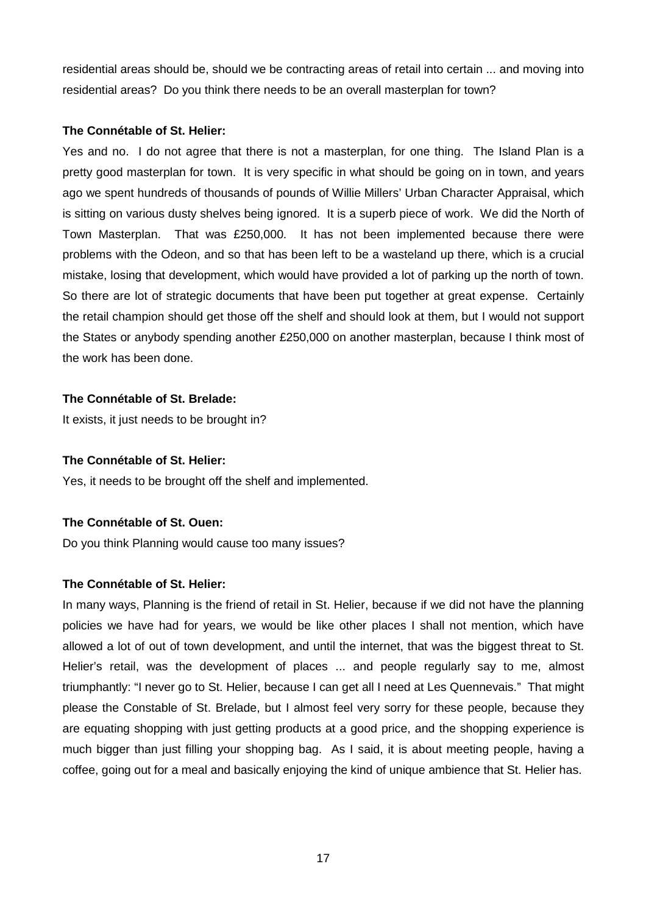residential areas should be, should we be contracting areas of retail into certain ... and moving into residential areas? Do you think there needs to be an overall masterplan for town?

# **The Connétable of St. Helier:**

Yes and no. I do not agree that there is not a masterplan, for one thing. The Island Plan is a pretty good masterplan for town. It is very specific in what should be going on in town, and years ago we spent hundreds of thousands of pounds of Willie Millers' Urban Character Appraisal, which is sitting on various dusty shelves being ignored. It is a superb piece of work. We did the North of Town Masterplan. That was £250,000. It has not been implemented because there were problems with the Odeon, and so that has been left to be a wasteland up there, which is a crucial mistake, losing that development, which would have provided a lot of parking up the north of town. So there are lot of strategic documents that have been put together at great expense. Certainly the retail champion should get those off the shelf and should look at them, but I would not support the States or anybody spending another £250,000 on another masterplan, because I think most of the work has been done.

# **The Connétable of St. Brelade:**

It exists, it just needs to be brought in?

# **The Connétable of St. Helier:**

Yes, it needs to be brought off the shelf and implemented.

# **The Connétable of St. Ouen:**

Do you think Planning would cause too many issues?

# **The Connétable of St. Helier:**

In many ways, Planning is the friend of retail in St. Helier, because if we did not have the planning policies we have had for years, we would be like other places I shall not mention, which have allowed a lot of out of town development, and until the internet, that was the biggest threat to St. Helier's retail, was the development of places ... and people regularly say to me, almost triumphantly: "I never go to St. Helier, because I can get all I need at Les Quennevais." That might please the Constable of St. Brelade, but I almost feel very sorry for these people, because they are equating shopping with just getting products at a good price, and the shopping experience is much bigger than just filling your shopping bag. As I said, it is about meeting people, having a coffee, going out for a meal and basically enjoying the kind of unique ambience that St. Helier has.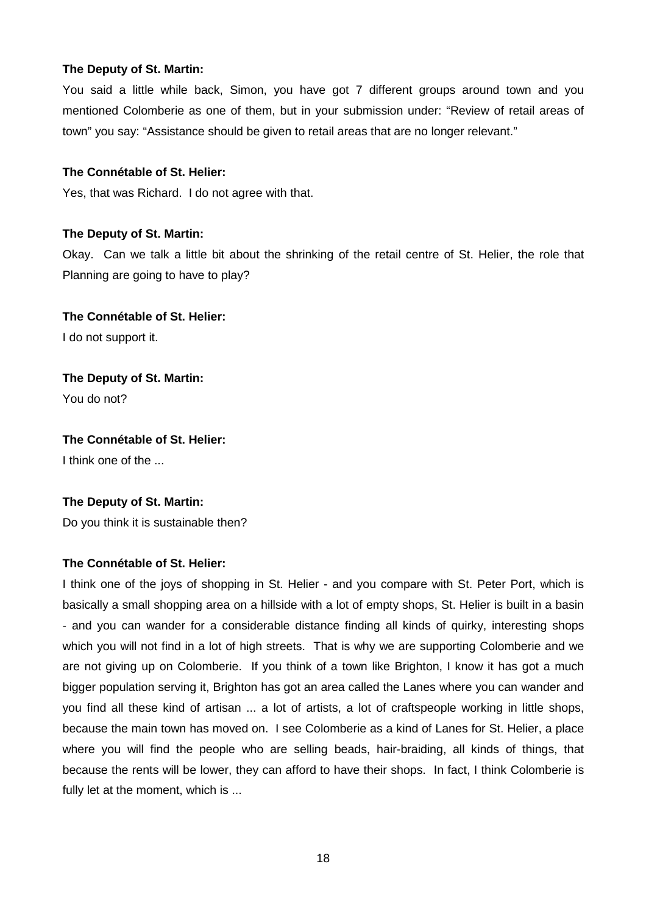## **The Deputy of St. Martin:**

You said a little while back, Simon, you have got 7 different groups around town and you mentioned Colomberie as one of them, but in your submission under: "Review of retail areas of town" you say: "Assistance should be given to retail areas that are no longer relevant."

## **The Connétable of St. Helier:**

Yes, that was Richard. I do not agree with that.

## **The Deputy of St. Martin:**

Okay. Can we talk a little bit about the shrinking of the retail centre of St. Helier, the role that Planning are going to have to play?

**The Connétable of St. Helier:** I do not support it.

**The Deputy of St. Martin:** You do not?

**The Connétable of St. Helier:** I think one of the ...

## **The Deputy of St. Martin:**

Do you think it is sustainable then?

# **The Connétable of St. Helier:**

I think one of the joys of shopping in St. Helier - and you compare with St. Peter Port, which is basically a small shopping area on a hillside with a lot of empty shops, St. Helier is built in a basin - and you can wander for a considerable distance finding all kinds of quirky, interesting shops which you will not find in a lot of high streets. That is why we are supporting Colomberie and we are not giving up on Colomberie. If you think of a town like Brighton, I know it has got a much bigger population serving it, Brighton has got an area called the Lanes where you can wander and you find all these kind of artisan ... a lot of artists, a lot of craftspeople working in little shops, because the main town has moved on. I see Colomberie as a kind of Lanes for St. Helier, a place where you will find the people who are selling beads, hair-braiding, all kinds of things, that because the rents will be lower, they can afford to have their shops. In fact, I think Colomberie is fully let at the moment, which is ...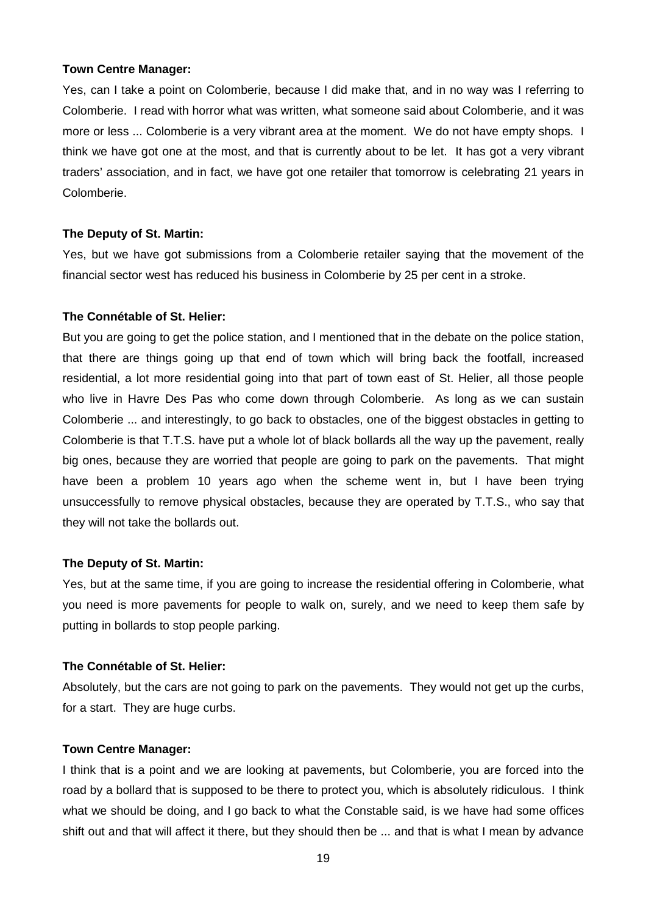## **Town Centre Manager:**

Yes, can I take a point on Colomberie, because I did make that, and in no way was I referring to Colomberie. I read with horror what was written, what someone said about Colomberie, and it was more or less ... Colomberie is a very vibrant area at the moment. We do not have empty shops. I think we have got one at the most, and that is currently about to be let. It has got a very vibrant traders' association, and in fact, we have got one retailer that tomorrow is celebrating 21 years in Colomberie.

## **The Deputy of St. Martin:**

Yes, but we have got submissions from a Colomberie retailer saying that the movement of the financial sector west has reduced his business in Colomberie by 25 per cent in a stroke.

## **The Connétable of St. Helier:**

But you are going to get the police station, and I mentioned that in the debate on the police station, that there are things going up that end of town which will bring back the footfall, increased residential, a lot more residential going into that part of town east of St. Helier, all those people who live in Havre Des Pas who come down through Colomberie. As long as we can sustain Colomberie ... and interestingly, to go back to obstacles, one of the biggest obstacles in getting to Colomberie is that T.T.S. have put a whole lot of black bollards all the way up the pavement, really big ones, because they are worried that people are going to park on the pavements. That might have been a problem 10 years ago when the scheme went in, but I have been trying unsuccessfully to remove physical obstacles, because they are operated by T.T.S., who say that they will not take the bollards out.

## **The Deputy of St. Martin:**

Yes, but at the same time, if you are going to increase the residential offering in Colomberie, what you need is more pavements for people to walk on, surely, and we need to keep them safe by putting in bollards to stop people parking.

## **The Connétable of St. Helier:**

Absolutely, but the cars are not going to park on the pavements. They would not get up the curbs, for a start. They are huge curbs.

#### **Town Centre Manager:**

I think that is a point and we are looking at pavements, but Colomberie, you are forced into the road by a bollard that is supposed to be there to protect you, which is absolutely ridiculous. I think what we should be doing, and I go back to what the Constable said, is we have had some offices shift out and that will affect it there, but they should then be ... and that is what I mean by advance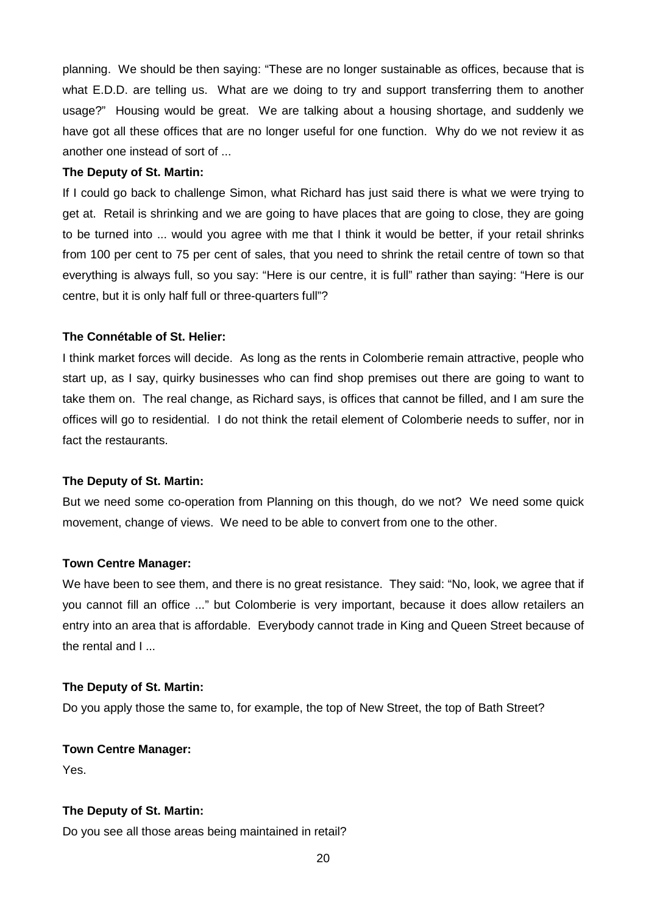planning. We should be then saying: "These are no longer sustainable as offices, because that is what E.D.D. are telling us. What are we doing to try and support transferring them to another usage?" Housing would be great. We are talking about a housing shortage, and suddenly we have got all these offices that are no longer useful for one function. Why do we not review it as another one instead of sort of ...

## **The Deputy of St. Martin:**

If I could go back to challenge Simon, what Richard has just said there is what we were trying to get at. Retail is shrinking and we are going to have places that are going to close, they are going to be turned into ... would you agree with me that I think it would be better, if your retail shrinks from 100 per cent to 75 per cent of sales, that you need to shrink the retail centre of town so that everything is always full, so you say: "Here is our centre, it is full" rather than saying: "Here is our centre, but it is only half full or three-quarters full"?

# **The Connétable of St. Helier:**

I think market forces will decide. As long as the rents in Colomberie remain attractive, people who start up, as I say, quirky businesses who can find shop premises out there are going to want to take them on. The real change, as Richard says, is offices that cannot be filled, and I am sure the offices will go to residential. I do not think the retail element of Colomberie needs to suffer, nor in fact the restaurants.

# **The Deputy of St. Martin:**

But we need some co-operation from Planning on this though, do we not? We need some quick movement, change of views. We need to be able to convert from one to the other.

# **Town Centre Manager:**

We have been to see them, and there is no great resistance. They said: "No, look, we agree that if you cannot fill an office ..." but Colomberie is very important, because it does allow retailers an entry into an area that is affordable. Everybody cannot trade in King and Queen Street because of the rental and I ...

## **The Deputy of St. Martin:**

Do you apply those the same to, for example, the top of New Street, the top of Bath Street?

# **Town Centre Manager:**

Yes.

# **The Deputy of St. Martin:**

Do you see all those areas being maintained in retail?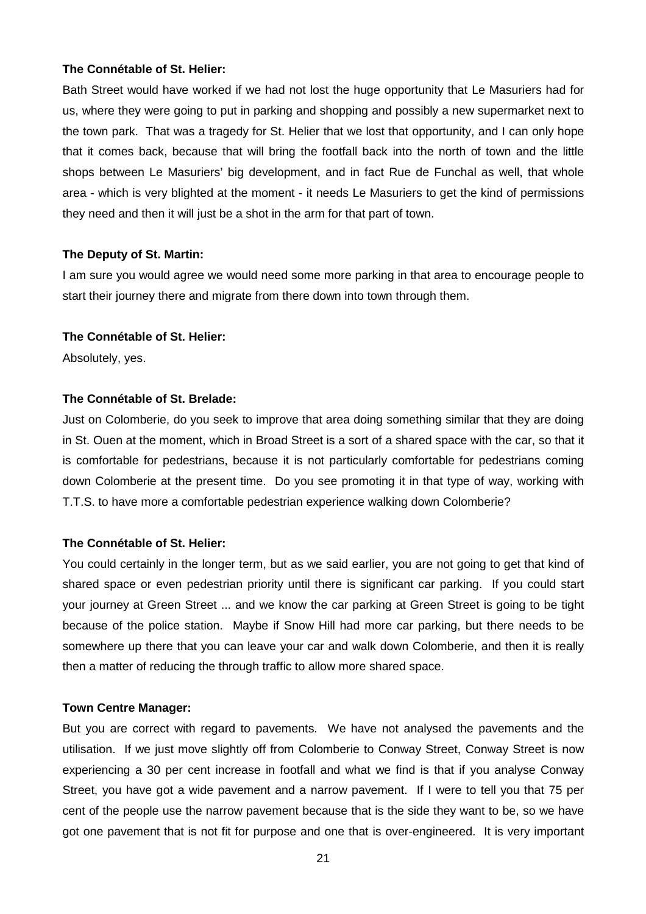Bath Street would have worked if we had not lost the huge opportunity that Le Masuriers had for us, where they were going to put in parking and shopping and possibly a new supermarket next to the town park. That was a tragedy for St. Helier that we lost that opportunity, and I can only hope that it comes back, because that will bring the footfall back into the north of town and the little shops between Le Masuriers' big development, and in fact Rue de Funchal as well, that whole area - which is very blighted at the moment - it needs Le Masuriers to get the kind of permissions they need and then it will just be a shot in the arm for that part of town.

## **The Deputy of St. Martin:**

I am sure you would agree we would need some more parking in that area to encourage people to start their journey there and migrate from there down into town through them.

## **The Connétable of St. Helier:**

Absolutely, yes.

## **The Connétable of St. Brelade:**

Just on Colomberie, do you seek to improve that area doing something similar that they are doing in St. Ouen at the moment, which in Broad Street is a sort of a shared space with the car, so that it is comfortable for pedestrians, because it is not particularly comfortable for pedestrians coming down Colomberie at the present time. Do you see promoting it in that type of way, working with T.T.S. to have more a comfortable pedestrian experience walking down Colomberie?

# **The Connétable of St. Helier:**

You could certainly in the longer term, but as we said earlier, you are not going to get that kind of shared space or even pedestrian priority until there is significant car parking. If you could start your journey at Green Street ... and we know the car parking at Green Street is going to be tight because of the police station. Maybe if Snow Hill had more car parking, but there needs to be somewhere up there that you can leave your car and walk down Colomberie, and then it is really then a matter of reducing the through traffic to allow more shared space.

## **Town Centre Manager:**

But you are correct with regard to pavements. We have not analysed the pavements and the utilisation. If we just move slightly off from Colomberie to Conway Street, Conway Street is now experiencing a 30 per cent increase in footfall and what we find is that if you analyse Conway Street, you have got a wide pavement and a narrow pavement. If I were to tell you that 75 per cent of the people use the narrow pavement because that is the side they want to be, so we have got one pavement that is not fit for purpose and one that is over-engineered. It is very important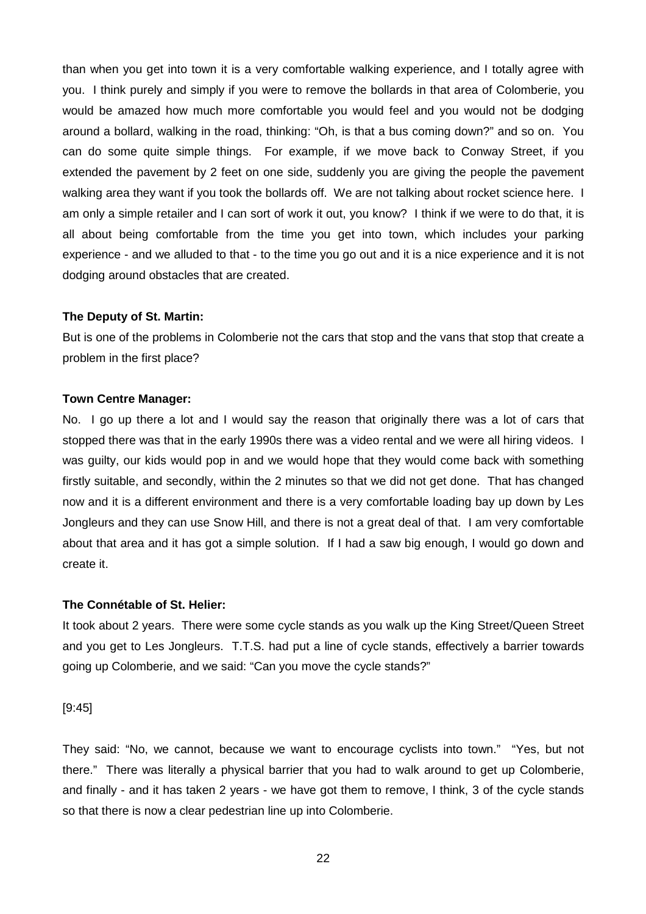than when you get into town it is a very comfortable walking experience, and I totally agree with you. I think purely and simply if you were to remove the bollards in that area of Colomberie, you would be amazed how much more comfortable you would feel and you would not be dodging around a bollard, walking in the road, thinking: "Oh, is that a bus coming down?" and so on. You can do some quite simple things. For example, if we move back to Conway Street, if you extended the pavement by 2 feet on one side, suddenly you are giving the people the pavement walking area they want if you took the bollards off. We are not talking about rocket science here. I am only a simple retailer and I can sort of work it out, you know? I think if we were to do that, it is all about being comfortable from the time you get into town, which includes your parking experience - and we alluded to that - to the time you go out and it is a nice experience and it is not dodging around obstacles that are created.

## **The Deputy of St. Martin:**

But is one of the problems in Colomberie not the cars that stop and the vans that stop that create a problem in the first place?

## **Town Centre Manager:**

No. I go up there a lot and I would say the reason that originally there was a lot of cars that stopped there was that in the early 1990s there was a video rental and we were all hiring videos. I was guilty, our kids would pop in and we would hope that they would come back with something firstly suitable, and secondly, within the 2 minutes so that we did not get done. That has changed now and it is a different environment and there is a very comfortable loading bay up down by Les Jongleurs and they can use Snow Hill, and there is not a great deal of that. I am very comfortable about that area and it has got a simple solution. If I had a saw big enough, I would go down and create it.

## **The Connétable of St. Helier:**

It took about 2 years. There were some cycle stands as you walk up the King Street/Queen Street and you get to Les Jongleurs. T.T.S. had put a line of cycle stands, effectively a barrier towards going up Colomberie, and we said: "Can you move the cycle stands?"

[9:45]

They said: "No, we cannot, because we want to encourage cyclists into town." "Yes, but not there." There was literally a physical barrier that you had to walk around to get up Colomberie, and finally - and it has taken 2 years - we have got them to remove, I think, 3 of the cycle stands so that there is now a clear pedestrian line up into Colomberie.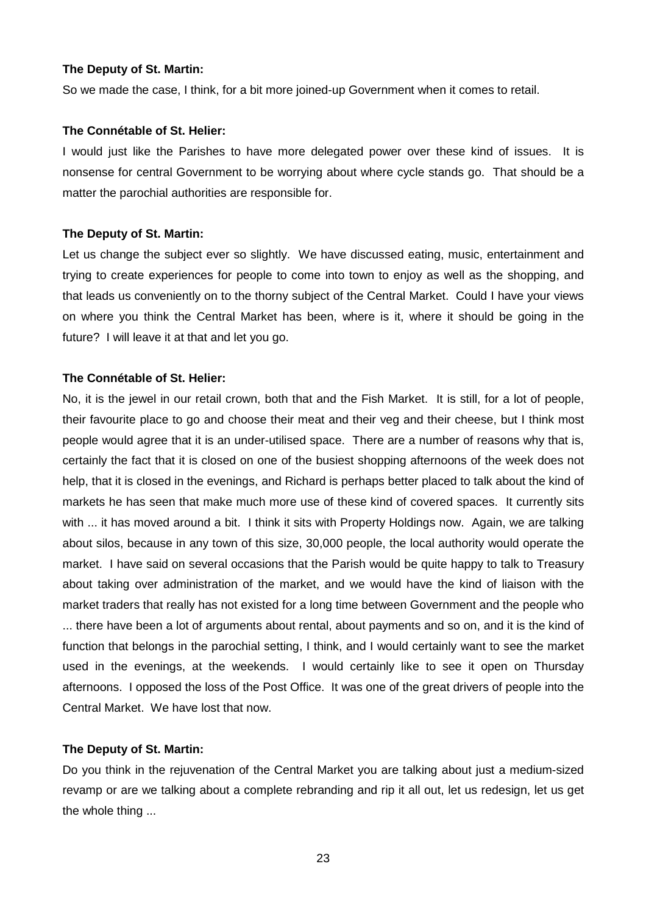## **The Deputy of St. Martin:**

So we made the case, I think, for a bit more joined-up Government when it comes to retail.

## **The Connétable of St. Helier:**

I would just like the Parishes to have more delegated power over these kind of issues. It is nonsense for central Government to be worrying about where cycle stands go. That should be a matter the parochial authorities are responsible for.

## **The Deputy of St. Martin:**

Let us change the subject ever so slightly. We have discussed eating, music, entertainment and trying to create experiences for people to come into town to enjoy as well as the shopping, and that leads us conveniently on to the thorny subject of the Central Market. Could I have your views on where you think the Central Market has been, where is it, where it should be going in the future? I will leave it at that and let you go.

## **The Connétable of St. Helier:**

No, it is the jewel in our retail crown, both that and the Fish Market. It is still, for a lot of people, their favourite place to go and choose their meat and their veg and their cheese, but I think most people would agree that it is an under-utilised space. There are a number of reasons why that is, certainly the fact that it is closed on one of the busiest shopping afternoons of the week does not help, that it is closed in the evenings, and Richard is perhaps better placed to talk about the kind of markets he has seen that make much more use of these kind of covered spaces. It currently sits with ... it has moved around a bit. I think it sits with Property Holdings now. Again, we are talking about silos, because in any town of this size, 30,000 people, the local authority would operate the market. I have said on several occasions that the Parish would be quite happy to talk to Treasury about taking over administration of the market, and we would have the kind of liaison with the market traders that really has not existed for a long time between Government and the people who

... there have been a lot of arguments about rental, about payments and so on, and it is the kind of function that belongs in the parochial setting, I think, and I would certainly want to see the market used in the evenings, at the weekends. I would certainly like to see it open on Thursday afternoons. I opposed the loss of the Post Office. It was one of the great drivers of people into the Central Market. We have lost that now.

#### **The Deputy of St. Martin:**

Do you think in the rejuvenation of the Central Market you are talking about just a medium-sized revamp or are we talking about a complete rebranding and rip it all out, let us redesign, let us get the whole thing ...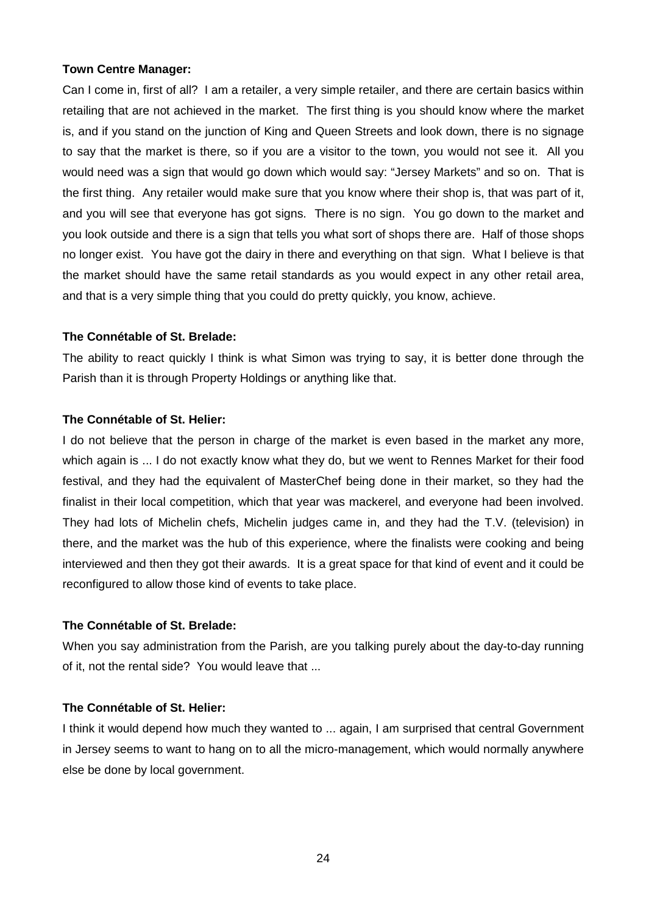## **Town Centre Manager:**

Can I come in, first of all? I am a retailer, a very simple retailer, and there are certain basics within retailing that are not achieved in the market. The first thing is you should know where the market is, and if you stand on the junction of King and Queen Streets and look down, there is no signage to say that the market is there, so if you are a visitor to the town, you would not see it. All you would need was a sign that would go down which would say: "Jersey Markets" and so on. That is the first thing. Any retailer would make sure that you know where their shop is, that was part of it, and you will see that everyone has got signs. There is no sign. You go down to the market and you look outside and there is a sign that tells you what sort of shops there are. Half of those shops no longer exist. You have got the dairy in there and everything on that sign. What I believe is that the market should have the same retail standards as you would expect in any other retail area, and that is a very simple thing that you could do pretty quickly, you know, achieve.

## **The Connétable of St. Brelade:**

The ability to react quickly I think is what Simon was trying to say, it is better done through the Parish than it is through Property Holdings or anything like that.

## **The Connétable of St. Helier:**

I do not believe that the person in charge of the market is even based in the market any more, which again is ... I do not exactly know what they do, but we went to Rennes Market for their food festival, and they had the equivalent of MasterChef being done in their market, so they had the finalist in their local competition, which that year was mackerel, and everyone had been involved. They had lots of Michelin chefs, Michelin judges came in, and they had the T.V. (television) in there, and the market was the hub of this experience, where the finalists were cooking and being interviewed and then they got their awards. It is a great space for that kind of event and it could be reconfigured to allow those kind of events to take place.

# **The Connétable of St. Brelade:**

When you say administration from the Parish, are you talking purely about the day-to-day running of it, not the rental side? You would leave that ...

# **The Connétable of St. Helier:**

I think it would depend how much they wanted to ... again, I am surprised that central Government in Jersey seems to want to hang on to all the micro-management, which would normally anywhere else be done by local government.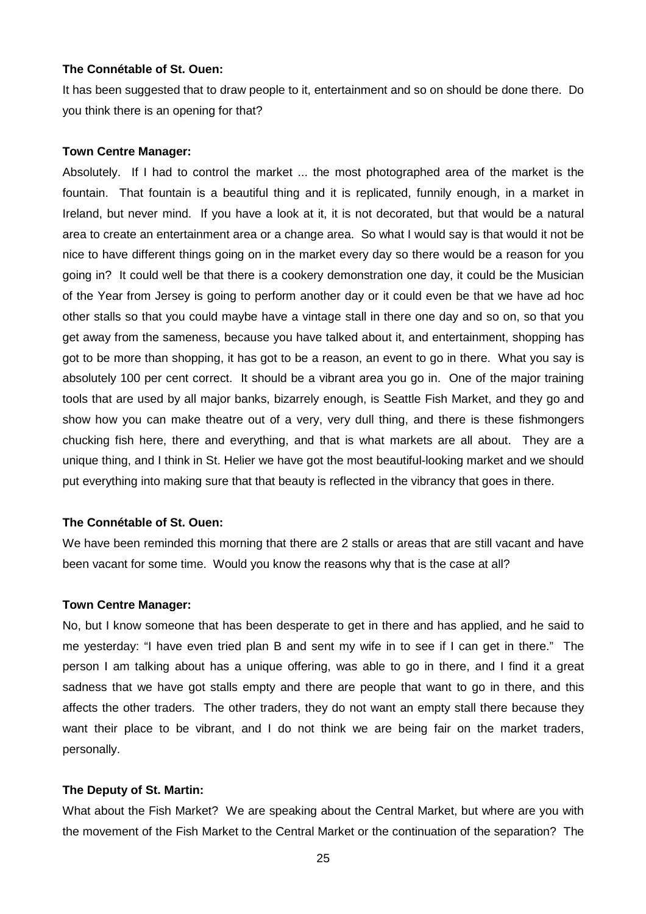## **The Connétable of St. Ouen:**

It has been suggested that to draw people to it, entertainment and so on should be done there. Do you think there is an opening for that?

## **Town Centre Manager:**

Absolutely. If I had to control the market ... the most photographed area of the market is the fountain. That fountain is a beautiful thing and it is replicated, funnily enough, in a market in Ireland, but never mind. If you have a look at it, it is not decorated, but that would be a natural area to create an entertainment area or a change area. So what I would say is that would it not be nice to have different things going on in the market every day so there would be a reason for you going in? It could well be that there is a cookery demonstration one day, it could be the Musician of the Year from Jersey is going to perform another day or it could even be that we have ad hoc other stalls so that you could maybe have a vintage stall in there one day and so on, so that you get away from the sameness, because you have talked about it, and entertainment, shopping has got to be more than shopping, it has got to be a reason, an event to go in there. What you say is absolutely 100 per cent correct. It should be a vibrant area you go in. One of the major training tools that are used by all major banks, bizarrely enough, is Seattle Fish Market, and they go and show how you can make theatre out of a very, very dull thing, and there is these fishmongers chucking fish here, there and everything, and that is what markets are all about. They are a unique thing, and I think in St. Helier we have got the most beautiful-looking market and we should put everything into making sure that that beauty is reflected in the vibrancy that goes in there.

## **The Connétable of St. Ouen:**

We have been reminded this morning that there are 2 stalls or areas that are still vacant and have been vacant for some time. Would you know the reasons why that is the case at all?

## **Town Centre Manager:**

No, but I know someone that has been desperate to get in there and has applied, and he said to me yesterday: "I have even tried plan B and sent my wife in to see if I can get in there." The person I am talking about has a unique offering, was able to go in there, and I find it a great sadness that we have got stalls empty and there are people that want to go in there, and this affects the other traders. The other traders, they do not want an empty stall there because they want their place to be vibrant, and I do not think we are being fair on the market traders, personally.

## **The Deputy of St. Martin:**

What about the Fish Market? We are speaking about the Central Market, but where are you with the movement of the Fish Market to the Central Market or the continuation of the separation? The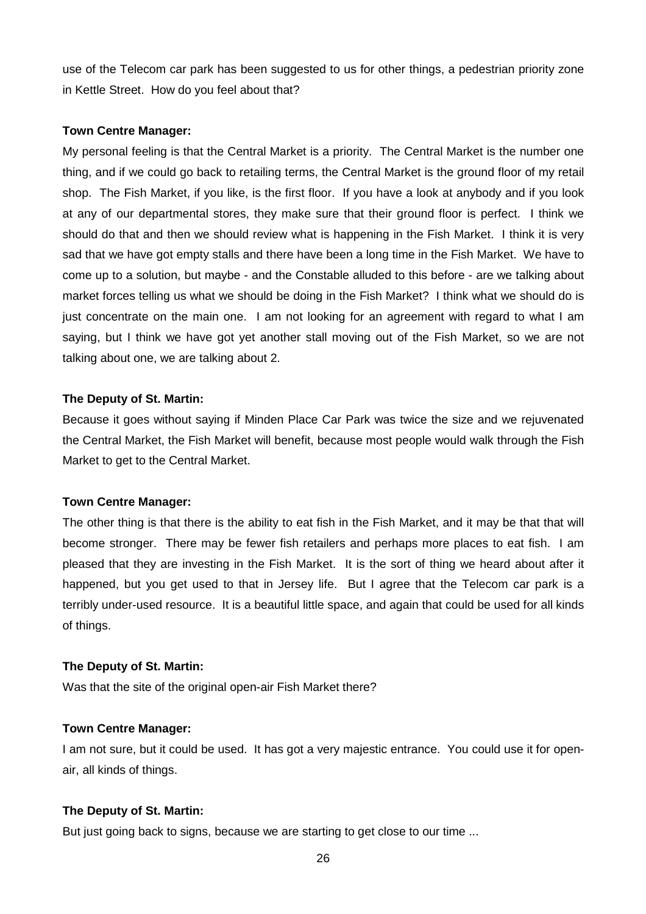use of the Telecom car park has been suggested to us for other things, a pedestrian priority zone in Kettle Street. How do you feel about that?

## **Town Centre Manager:**

My personal feeling is that the Central Market is a priority. The Central Market is the number one thing, and if we could go back to retailing terms, the Central Market is the ground floor of my retail shop. The Fish Market, if you like, is the first floor. If you have a look at anybody and if you look at any of our departmental stores, they make sure that their ground floor is perfect. I think we should do that and then we should review what is happening in the Fish Market. I think it is very sad that we have got empty stalls and there have been a long time in the Fish Market. We have to come up to a solution, but maybe - and the Constable alluded to this before - are we talking about market forces telling us what we should be doing in the Fish Market? I think what we should do is just concentrate on the main one. I am not looking for an agreement with regard to what I am saying, but I think we have got yet another stall moving out of the Fish Market, so we are not talking about one, we are talking about 2.

# **The Deputy of St. Martin:**

Because it goes without saying if Minden Place Car Park was twice the size and we rejuvenated the Central Market, the Fish Market will benefit, because most people would walk through the Fish Market to get to the Central Market.

## **Town Centre Manager:**

The other thing is that there is the ability to eat fish in the Fish Market, and it may be that that will become stronger. There may be fewer fish retailers and perhaps more places to eat fish. I am pleased that they are investing in the Fish Market. It is the sort of thing we heard about after it happened, but you get used to that in Jersey life. But I agree that the Telecom car park is a terribly under-used resource. It is a beautiful little space, and again that could be used for all kinds of things.

## **The Deputy of St. Martin:**

Was that the site of the original open-air Fish Market there?

## **Town Centre Manager:**

I am not sure, but it could be used. It has got a very majestic entrance. You could use it for openair, all kinds of things.

# **The Deputy of St. Martin:**

But just going back to signs, because we are starting to get close to our time ...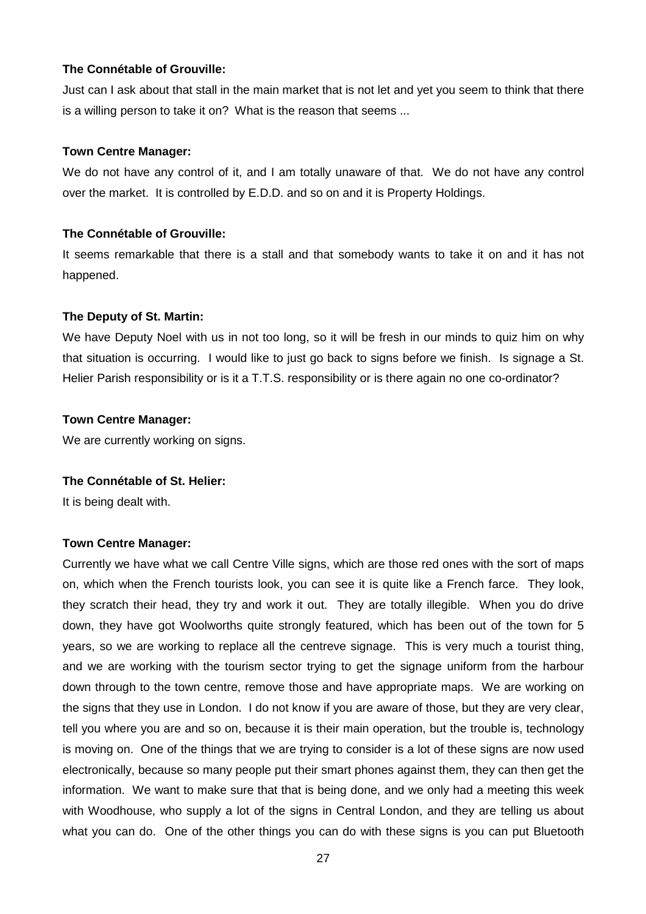## **The Connétable of Grouville:**

Just can I ask about that stall in the main market that is not let and yet you seem to think that there is a willing person to take it on? What is the reason that seems ...

## **Town Centre Manager:**

We do not have any control of it, and I am totally unaware of that. We do not have any control over the market. It is controlled by E.D.D. and so on and it is Property Holdings.

## **The Connétable of Grouville:**

It seems remarkable that there is a stall and that somebody wants to take it on and it has not happened.

## **The Deputy of St. Martin:**

We have Deputy Noel with us in not too long, so it will be fresh in our minds to quiz him on why that situation is occurring. I would like to just go back to signs before we finish. Is signage a St. Helier Parish responsibility or is it a T.T.S. responsibility or is there again no one co-ordinator?

## **Town Centre Manager:**

We are currently working on signs.

## **The Connétable of St. Helier:**

It is being dealt with.

# **Town Centre Manager:**

Currently we have what we call Centre Ville signs, which are those red ones with the sort of maps on, which when the French tourists look, you can see it is quite like a French farce. They look, they scratch their head, they try and work it out. They are totally illegible. When you do drive down, they have got Woolworths quite strongly featured, which has been out of the town for 5 years, so we are working to replace all the centreve signage. This is very much a tourist thing, and we are working with the tourism sector trying to get the signage uniform from the harbour down through to the town centre, remove those and have appropriate maps. We are working on the signs that they use in London. I do not know if you are aware of those, but they are very clear, tell you where you are and so on, because it is their main operation, but the trouble is, technology is moving on. One of the things that we are trying to consider is a lot of these signs are now used electronically, because so many people put their smart phones against them, they can then get the information. We want to make sure that that is being done, and we only had a meeting this week with Woodhouse, who supply a lot of the signs in Central London, and they are telling us about what you can do. One of the other things you can do with these signs is you can put Bluetooth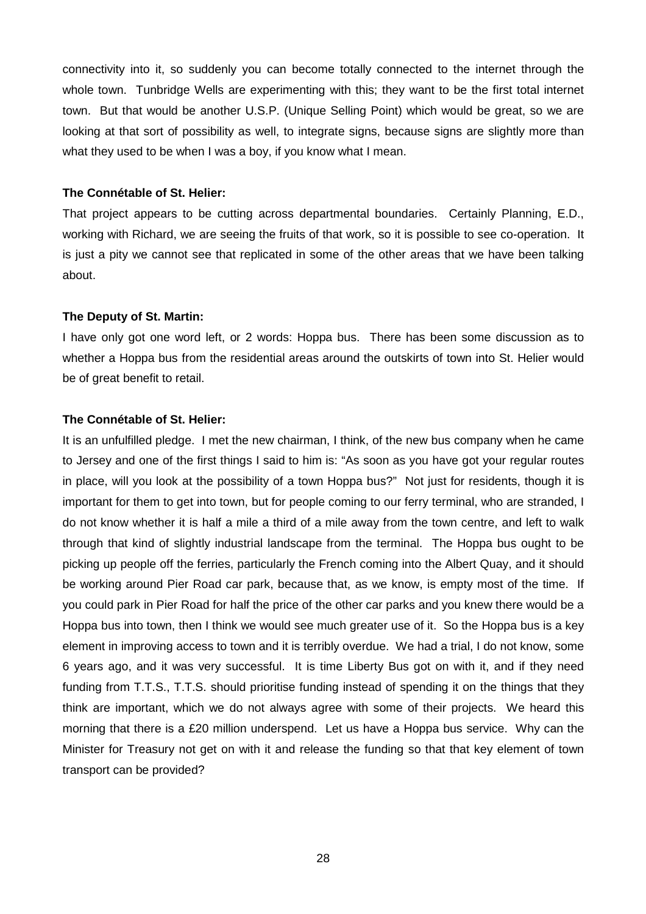connectivity into it, so suddenly you can become totally connected to the internet through the whole town. Tunbridge Wells are experimenting with this; they want to be the first total internet town. But that would be another U.S.P. (Unique Selling Point) which would be great, so we are looking at that sort of possibility as well, to integrate signs, because signs are slightly more than what they used to be when I was a boy, if you know what I mean.

## **The Connétable of St. Helier:**

That project appears to be cutting across departmental boundaries. Certainly Planning, E.D., working with Richard, we are seeing the fruits of that work, so it is possible to see co-operation. It is just a pity we cannot see that replicated in some of the other areas that we have been talking about.

## **The Deputy of St. Martin:**

I have only got one word left, or 2 words: Hoppa bus. There has been some discussion as to whether a Hoppa bus from the residential areas around the outskirts of town into St. Helier would be of great benefit to retail.

## **The Connétable of St. Helier:**

It is an unfulfilled pledge. I met the new chairman, I think, of the new bus company when he came to Jersey and one of the first things I said to him is: "As soon as you have got your regular routes in place, will you look at the possibility of a town Hoppa bus?" Not just for residents, though it is important for them to get into town, but for people coming to our ferry terminal, who are stranded, I do not know whether it is half a mile a third of a mile away from the town centre, and left to walk through that kind of slightly industrial landscape from the terminal. The Hoppa bus ought to be picking up people off the ferries, particularly the French coming into the Albert Quay, and it should be working around Pier Road car park, because that, as we know, is empty most of the time. If you could park in Pier Road for half the price of the other car parks and you knew there would be a Hoppa bus into town, then I think we would see much greater use of it. So the Hoppa bus is a key element in improving access to town and it is terribly overdue. We had a trial, I do not know, some 6 years ago, and it was very successful. It is time Liberty Bus got on with it, and if they need funding from T.T.S., T.T.S. should prioritise funding instead of spending it on the things that they think are important, which we do not always agree with some of their projects. We heard this morning that there is a £20 million underspend. Let us have a Hoppa bus service. Why can the Minister for Treasury not get on with it and release the funding so that that key element of town transport can be provided?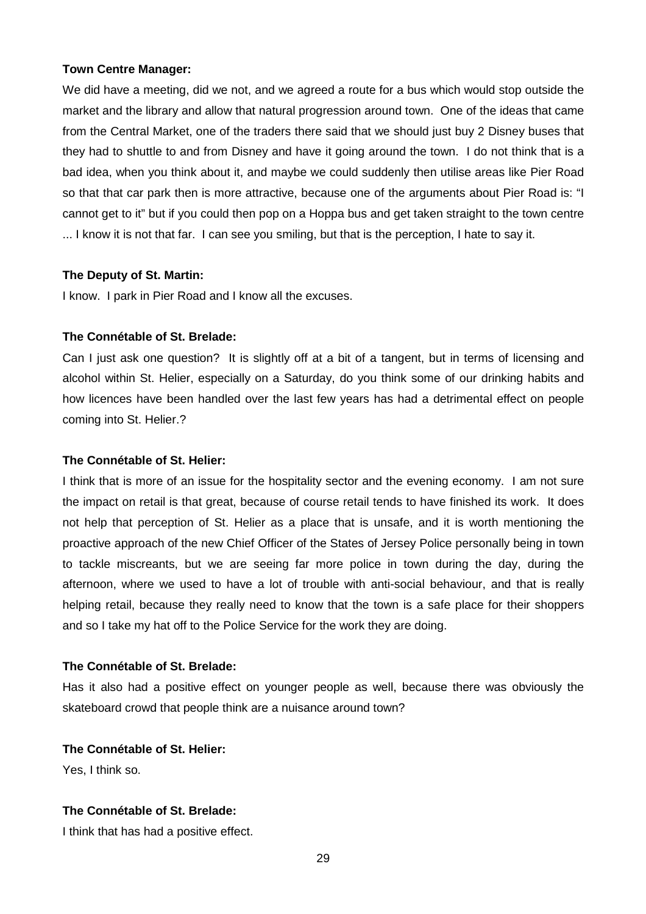## **Town Centre Manager:**

We did have a meeting, did we not, and we agreed a route for a bus which would stop outside the market and the library and allow that natural progression around town. One of the ideas that came from the Central Market, one of the traders there said that we should just buy 2 Disney buses that they had to shuttle to and from Disney and have it going around the town. I do not think that is a bad idea, when you think about it, and maybe we could suddenly then utilise areas like Pier Road so that that car park then is more attractive, because one of the arguments about Pier Road is: "I cannot get to it" but if you could then pop on a Hoppa bus and get taken straight to the town centre ... I know it is not that far. I can see you smiling, but that is the perception, I hate to say it.

## **The Deputy of St. Martin:**

I know. I park in Pier Road and I know all the excuses.

## **The Connétable of St. Brelade:**

Can I just ask one question? It is slightly off at a bit of a tangent, but in terms of licensing and alcohol within St. Helier, especially on a Saturday, do you think some of our drinking habits and how licences have been handled over the last few years has had a detrimental effect on people coming into St. Helier.?

### **The Connétable of St. Helier:**

I think that is more of an issue for the hospitality sector and the evening economy. I am not sure the impact on retail is that great, because of course retail tends to have finished its work. It does not help that perception of St. Helier as a place that is unsafe, and it is worth mentioning the proactive approach of the new Chief Officer of the States of Jersey Police personally being in town to tackle miscreants, but we are seeing far more police in town during the day, during the afternoon, where we used to have a lot of trouble with anti-social behaviour, and that is really helping retail, because they really need to know that the town is a safe place for their shoppers and so I take my hat off to the Police Service for the work they are doing.

## **The Connétable of St. Brelade:**

Has it also had a positive effect on younger people as well, because there was obviously the skateboard crowd that people think are a nuisance around town?

## **The Connétable of St. Helier:**

Yes, I think so.

## **The Connétable of St. Brelade:**

I think that has had a positive effect.